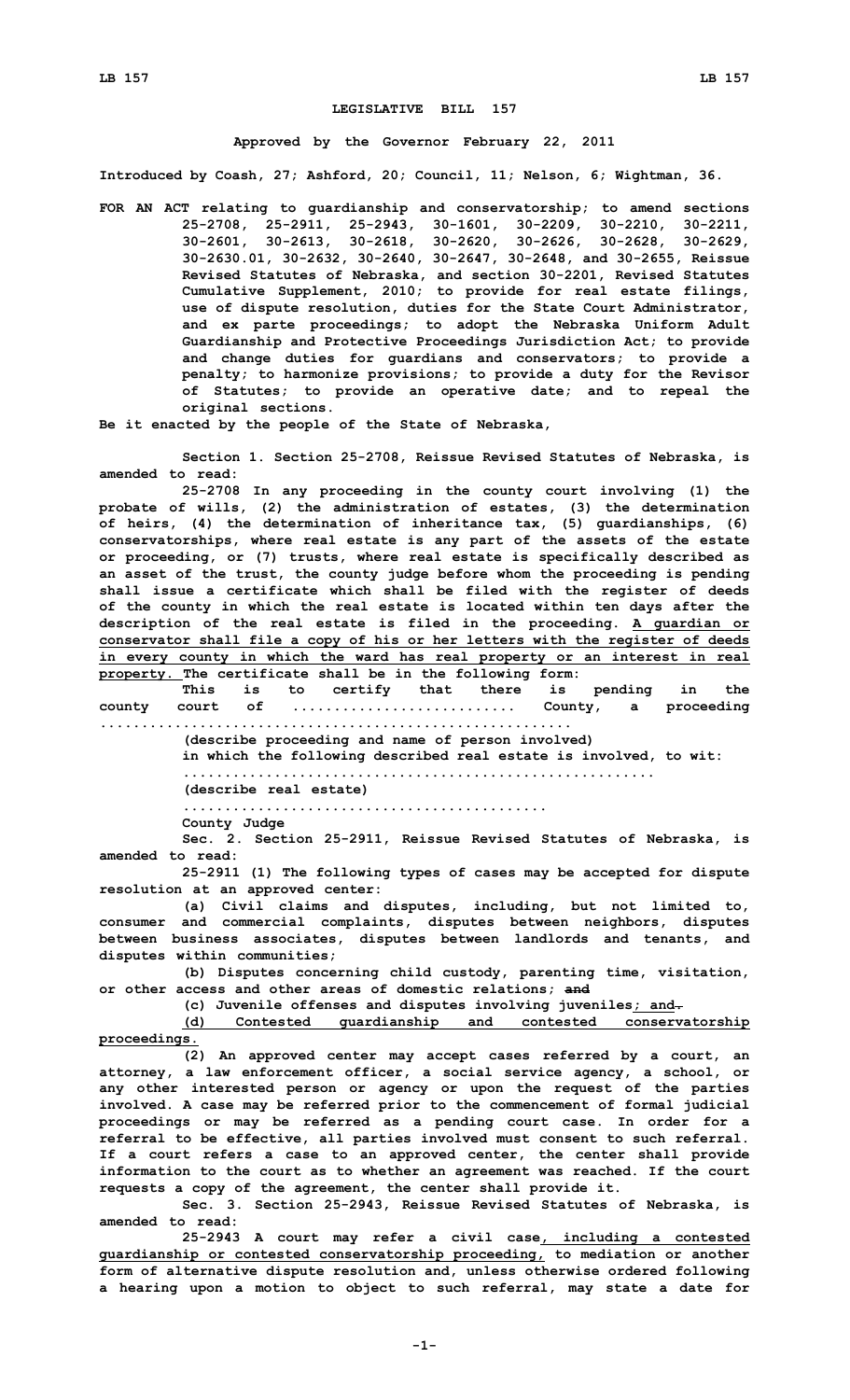## **LEGISLATIVE BILL 157**

## **Approved by the Governor February 22, 2011**

**Introduced by Coash, 27; Ashford, 20; Council, 11; Nelson, 6; Wightman, 36.**

**FOR AN ACT relating to guardianship and conservatorship; to amend sections 25-2708, 25-2911, 25-2943, 30-1601, 30-2209, 30-2210, 30-2211, 30-2601, 30-2613, 30-2618, 30-2620, 30-2626, 30-2628, 30-2629, 30-2630.01, 30-2632, 30-2640, 30-2647, 30-2648, and 30-2655, Reissue Revised Statutes of Nebraska, and section 30-2201, Revised Statutes Cumulative Supplement, 2010; to provide for real estate filings, use of dispute resolution, duties for the State Court Administrator, and ex parte proceedings; to adopt the Nebraska Uniform Adult Guardianship and Protective Proceedings Jurisdiction Act; to provide and change duties for guardians and conservators; to provide <sup>a</sup> penalty; to harmonize provisions; to provide <sup>a</sup> duty for the Revisor of Statutes; to provide an operative date; and to repeal the original sections.**

**Be it enacted by the people of the State of Nebraska,**

**Section 1. Section 25-2708, Reissue Revised Statutes of Nebraska, is amended to read:**

**25-2708 In any proceeding in the county court involving (1) the probate of wills, (2) the administration of estates, (3) the determination of heirs, (4) the determination of inheritance tax, (5) guardianships, (6) conservatorships, where real estate is any part of the assets of the estate or proceeding, or (7) trusts, where real estate is specifically described as an asset of the trust, the county judge before whom the proceeding is pending shall issue <sup>a</sup> certificate which shall be filed with the register of deeds of the county in which the real estate is located within ten days after the description of the real estate is filed in the proceeding. A guardian or conservator shall file <sup>a</sup> copy of his or her letters with the register of deeds in every county in which the ward has real property or an interest in real property. The certificate shall be in the following form:**

**This is to certify that there is pending in the county court of ........................... County, <sup>a</sup> proceeding .........................................................**

**(describe proceeding and name of person involved)**

**in which the following described real estate is involved, to wit:**

**.........................................................**

**(describe real estate) ............................................**

**County Judge**

**Sec. 2. Section 25-2911, Reissue Revised Statutes of Nebraska, is amended to read:**

**25-2911 (1) The following types of cases may be accepted for dispute resolution at an approved center:**

**(a) Civil claims and disputes, including, but not limited to, consumer and commercial complaints, disputes between neighbors, disputes between business associates, disputes between landlords and tenants, and disputes within communities;**

**(b) Disputes concerning child custody, parenting time, visitation, or other access and other areas of domestic relations; and**

**(c) Juvenile offenses and disputes involving juveniles; and.**

**(d) Contested guardianship and contested conservatorship proceedings.**

**(2) An approved center may accept cases referred by <sup>a</sup> court, an attorney, <sup>a</sup> law enforcement officer, <sup>a</sup> social service agency, <sup>a</sup> school, or any other interested person or agency or upon the request of the parties involved. A case may be referred prior to the commencement of formal judicial proceedings or may be referred as <sup>a</sup> pending court case. In order for <sup>a</sup> referral to be effective, all parties involved must consent to such referral. If <sup>a</sup> court refers <sup>a</sup> case to an approved center, the center shall provide information to the court as to whether an agreement was reached. If the court requests <sup>a</sup> copy of the agreement, the center shall provide it.**

**Sec. 3. Section 25-2943, Reissue Revised Statutes of Nebraska, is amended to read:**

**25-2943 <sup>A</sup> court may refer <sup>a</sup> civil case, including <sup>a</sup> contested guardianship or contested conservatorship proceeding, to mediation or another form of alternative dispute resolution and, unless otherwise ordered following <sup>a</sup> hearing upon <sup>a</sup> motion to object to such referral, may state <sup>a</sup> date for**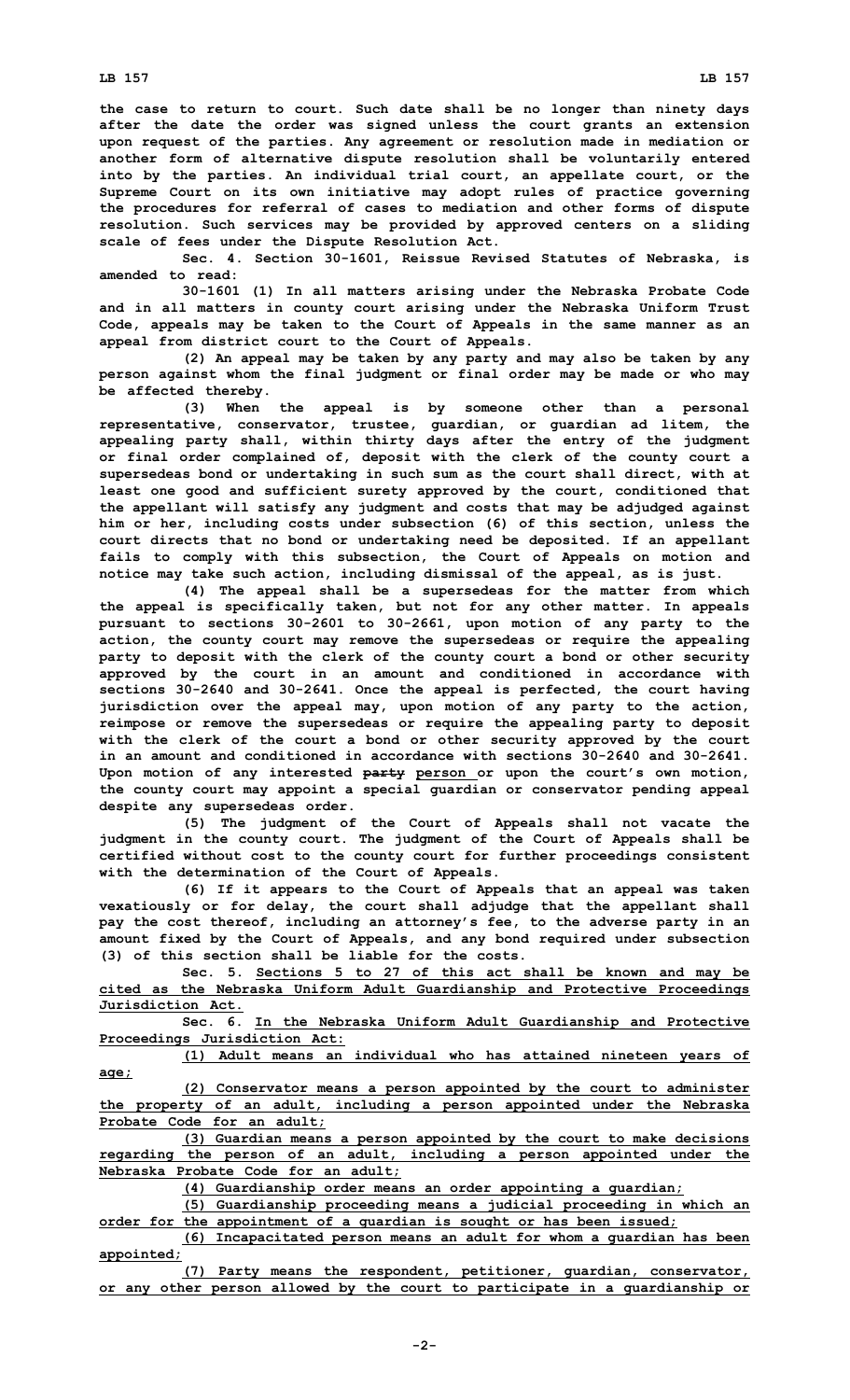**the case to return to court. Such date shall be no longer than ninety days after the date the order was signed unless the court grants an extension upon request of the parties. Any agreement or resolution made in mediation or another form of alternative dispute resolution shall be voluntarily entered into by the parties. An individual trial court, an appellate court, or the Supreme Court on its own initiative may adopt rules of practice governing the procedures for referral of cases to mediation and other forms of dispute resolution. Such services may be provided by approved centers on <sup>a</sup> sliding scale of fees under the Dispute Resolution Act.**

**Sec. 4. Section 30-1601, Reissue Revised Statutes of Nebraska, is amended to read:**

**30-1601 (1) In all matters arising under the Nebraska Probate Code and in all matters in county court arising under the Nebraska Uniform Trust Code, appeals may be taken to the Court of Appeals in the same manner as an appeal from district court to the Court of Appeals.**

**(2) An appeal may be taken by any party and may also be taken by any person against whom the final judgment or final order may be made or who may be affected thereby.**

**(3) When the appeal is by someone other than <sup>a</sup> personal representative, conservator, trustee, guardian, or guardian ad litem, the appealing party shall, within thirty days after the entry of the judgment or final order complained of, deposit with the clerk of the county court <sup>a</sup> supersedeas bond or undertaking in such sum as the court shall direct, with at least one good and sufficient surety approved by the court, conditioned that the appellant will satisfy any judgment and costs that may be adjudged against him or her, including costs under subsection (6) of this section, unless the court directs that no bond or undertaking need be deposited. If an appellant fails to comply with this subsection, the Court of Appeals on motion and notice may take such action, including dismissal of the appeal, as is just.**

**(4) The appeal shall be <sup>a</sup> supersedeas for the matter from which the appeal is specifically taken, but not for any other matter. In appeals pursuant to sections 30-2601 to 30-2661, upon motion of any party to the action, the county court may remove the supersedeas or require the appealing party to deposit with the clerk of the county court <sup>a</sup> bond or other security approved by the court in an amount and conditioned in accordance with sections 30-2640 and 30-2641. Once the appeal is perfected, the court having jurisdiction over the appeal may, upon motion of any party to the action, reimpose or remove the supersedeas or require the appealing party to deposit with the clerk of the court <sup>a</sup> bond or other security approved by the court in an amount and conditioned in accordance with sections 30-2640 and 30-2641. Upon motion of any interested party person or upon the court's own motion, the county court may appoint <sup>a</sup> special guardian or conservator pending appeal despite any supersedeas order.**

**(5) The judgment of the Court of Appeals shall not vacate the judgment in the county court. The judgment of the Court of Appeals shall be certified without cost to the county court for further proceedings consistent with the determination of the Court of Appeals.**

**(6) If it appears to the Court of Appeals that an appeal was taken vexatiously or for delay, the court shall adjudge that the appellant shall pay the cost thereof, including an attorney's fee, to the adverse party in an amount fixed by the Court of Appeals, and any bond required under subsection (3) of this section shall be liable for the costs.**

**Sec. 5. Sections 5 to 27 of this act shall be known and may be cited as the Nebraska Uniform Adult Guardianship and Protective Proceedings Jurisdiction Act.**

**Sec. 6. In the Nebraska Uniform Adult Guardianship and Protective Proceedings Jurisdiction Act:**

**(1) Adult means an individual who has attained nineteen years of age;**

**(2) Conservator means <sup>a</sup> person appointed by the court to administer the property of an adult, including <sup>a</sup> person appointed under the Nebraska Probate Code for an adult;**

**(3) Guardian means <sup>a</sup> person appointed by the court to make decisions regarding the person of an adult, including <sup>a</sup> person appointed under the Nebraska Probate Code for an adult;**

**(4) Guardianship order means an order appointing <sup>a</sup> guardian;**

**(5) Guardianship proceeding means <sup>a</sup> judicial proceeding in which an order for the appointment of <sup>a</sup> guardian is sought or has been issued;**

**(6) Incapacitated person means an adult for whom <sup>a</sup> guardian has been appointed;**

**(7) Party means the respondent, petitioner, guardian, conservator, or any other person allowed by the court to participate in <sup>a</sup> guardianship or**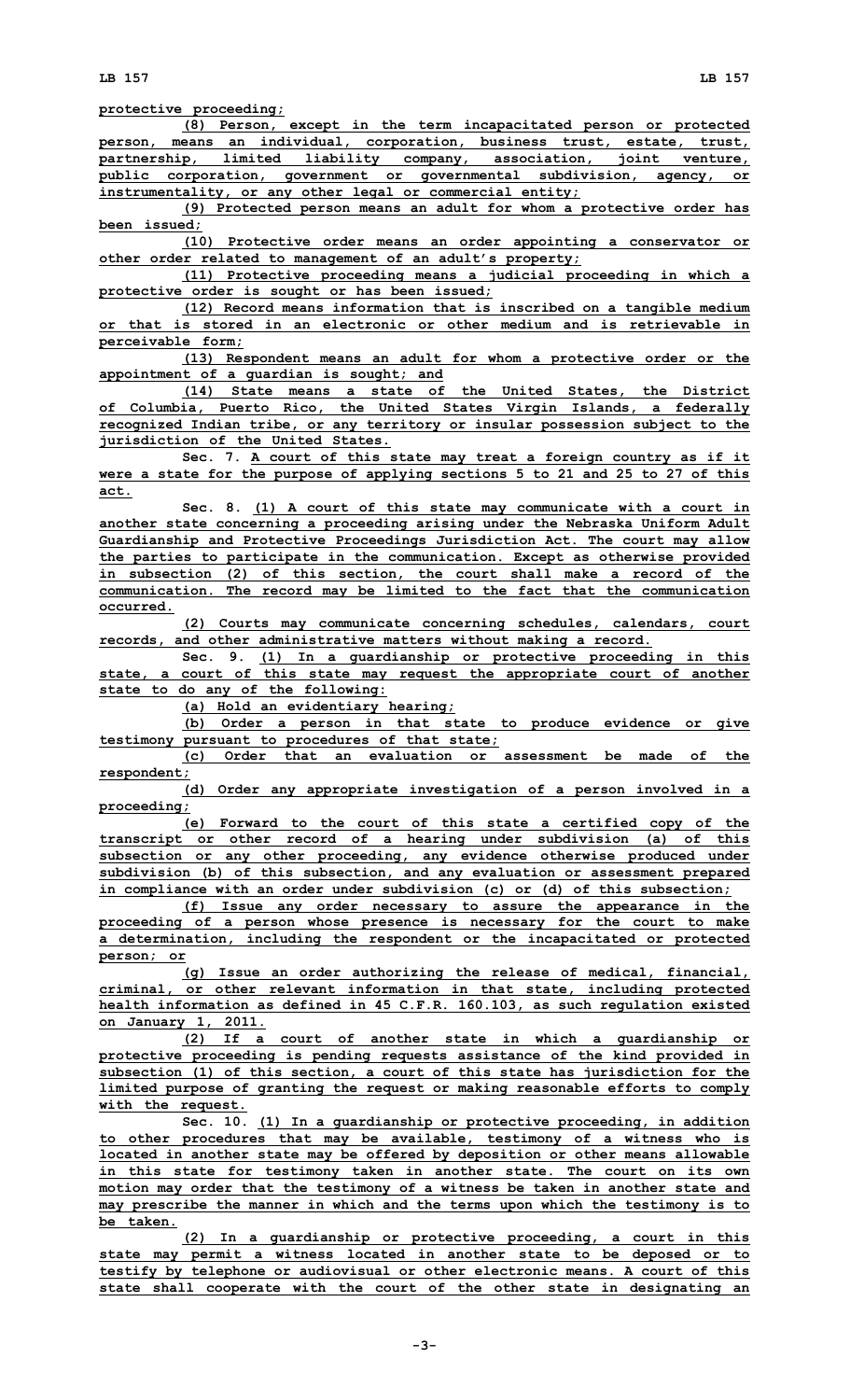**protective proceeding;**

**(8) Person, except in the term incapacitated person or protected person, means an individual, corporation, business trust, estate, trust, partnership, limited liability company, association, joint venture, public corporation, government or governmental subdivision, agency, or instrumentality, or any other legal or commercial entity;**

**(9) Protected person means an adult for whom <sup>a</sup> protective order has been issued;**

**(10) Protective order means an order appointing <sup>a</sup> conservator or other order related to management of an adult's property;**

**(11) Protective proceeding means <sup>a</sup> judicial proceeding in which <sup>a</sup> protective order is sought or has been issued;**

**(12) Record means information that is inscribed on <sup>a</sup> tangible medium or that is stored in an electronic or other medium and is retrievable in perceivable form;**

**(13) Respondent means an adult for whom <sup>a</sup> protective order or the appointment of <sup>a</sup> guardian is sought; and**

**(14) State means <sup>a</sup> state of the United States, the District of Columbia, Puerto Rico, the United States Virgin Islands, <sup>a</sup> federally recognized Indian tribe, or any territory or insular possession subject to the jurisdiction of the United States.**

**Sec. 7. A court of this state may treat <sup>a</sup> foreign country as if it were <sup>a</sup> state for the purpose of applying sections 5 to 21 and 25 to 27 of this act.**

**Sec. 8. (1) <sup>A</sup> court of this state may communicate with <sup>a</sup> court in another state concerning <sup>a</sup> proceeding arising under the Nebraska Uniform Adult Guardianship and Protective Proceedings Jurisdiction Act. The court may allow the parties to participate in the communication. Except as otherwise provided in subsection (2) of this section, the court shall make <sup>a</sup> record of the communication. The record may be limited to the fact that the communication occurred.**

**(2) Courts may communicate concerning schedules, calendars, court records, and other administrative matters without making <sup>a</sup> record.**

**Sec. 9. (1) In <sup>a</sup> guardianship or protective proceeding in this state, <sup>a</sup> court of this state may request the appropriate court of another state to do any of the following:**

**(a) Hold an evidentiary hearing;**

**(b) Order <sup>a</sup> person in that state to produce evidence or give testimony pursuant to procedures of that state;**

**(c) Order that an evaluation or assessment be made of the respondent;**

**(d) Order any appropriate investigation of <sup>a</sup> person involved in <sup>a</sup> proceeding;**

**(e) Forward to the court of this state <sup>a</sup> certified copy of the transcript or other record of <sup>a</sup> hearing under subdivision (a) of this subsection or any other proceeding, any evidence otherwise produced under subdivision (b) of this subsection, and any evaluation or assessment prepared in compliance with an order under subdivision (c) or (d) of this subsection;**

**(f) Issue any order necessary to assure the appearance in the proceeding of <sup>a</sup> person whose presence is necessary for the court to make <sup>a</sup> determination, including the respondent or the incapacitated or protected person; or**

**(g) Issue an order authorizing the release of medical, financial, criminal, or other relevant information in that state, including protected health information as defined in 45 C.F.R. 160.103, as such regulation existed on January 1, 2011.**

**(2) If <sup>a</sup> court of another state in which <sup>a</sup> guardianship or protective proceeding is pending requests assistance of the kind provided in subsection (1) of this section, <sup>a</sup> court of this state has jurisdiction for the limited purpose of granting the request or making reasonable efforts to comply with the request.**

**Sec. 10. (1) In <sup>a</sup> guardianship or protective proceeding, in addition to other procedures that may be available, testimony of <sup>a</sup> witness who is located in another state may be offered by deposition or other means allowable in this state for testimony taken in another state. The court on its own motion may order that the testimony of <sup>a</sup> witness be taken in another state and may prescribe the manner in which and the terms upon which the testimony is to be taken.**

**(2) In <sup>a</sup> guardianship or protective proceeding, <sup>a</sup> court in this state may permit <sup>a</sup> witness located in another state to be deposed or to testify by telephone or audiovisual or other electronic means. A court of this state shall cooperate with the court of the other state in designating an**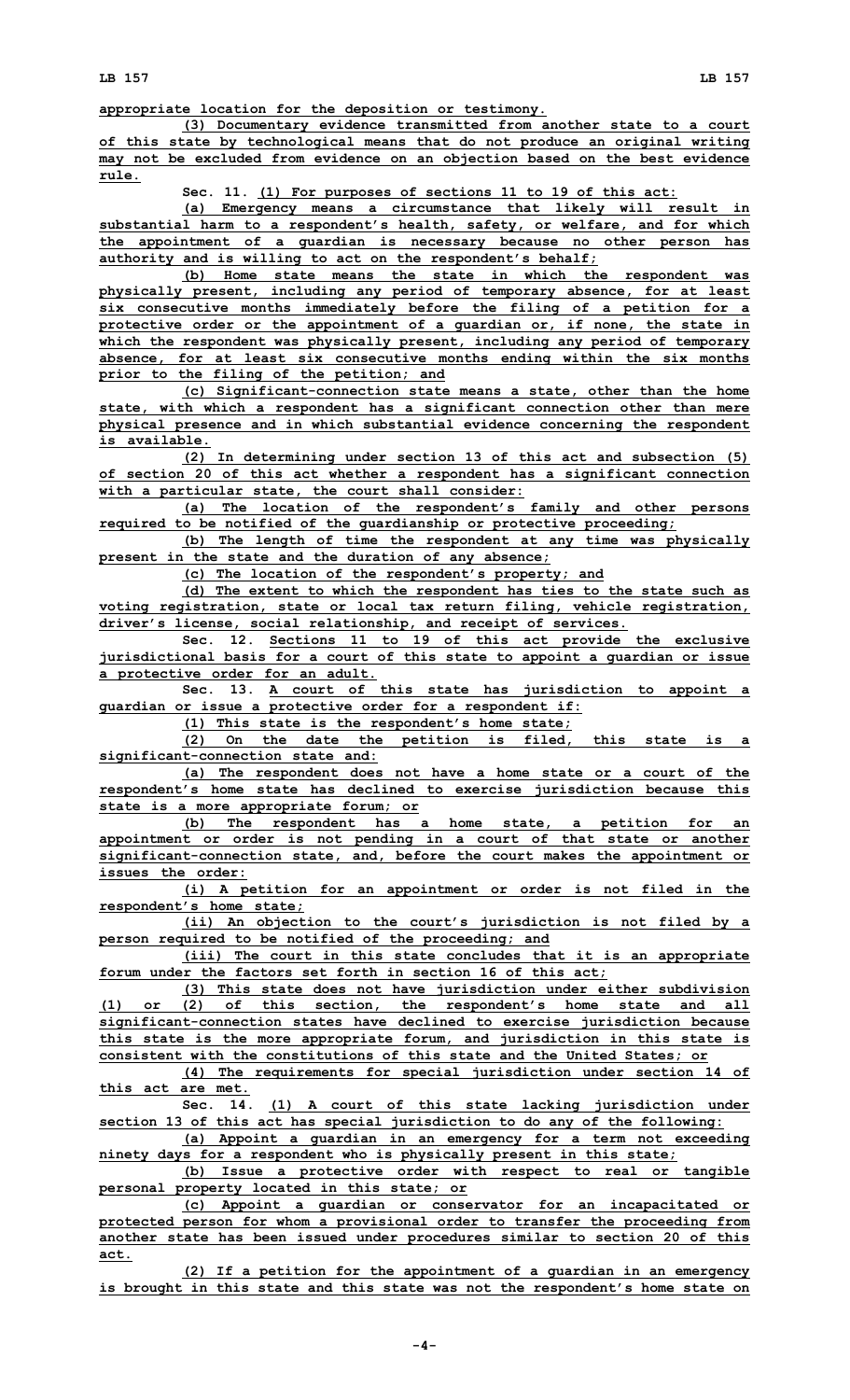**appropriate location for the deposition or testimony.**

**(3) Documentary evidence transmitted from another state to <sup>a</sup> court of this state by technological means that do not produce an original writing may not be excluded from evidence on an objection based on the best evidence rule.**

**Sec. 11. (1) For purposes of sections 11 to 19 of this act:**

**(a) Emergency means <sup>a</sup> circumstance that likely will result in substantial harm to <sup>a</sup> respondent's health, safety, or welfare, and for which the appointment of <sup>a</sup> guardian is necessary because no other person has authority and is willing to act on the respondent's behalf;**

**(b) Home state means the state in which the respondent was physically present, including any period of temporary absence, for at least six consecutive months immediately before the filing of <sup>a</sup> petition for <sup>a</sup> protective order or the appointment of <sup>a</sup> guardian or, if none, the state in which the respondent was physically present, including any period of temporary absence, for at least six consecutive months ending within the six months prior to the filing of the petition; and**

**(c) Significant-connection state means <sup>a</sup> state, other than the home state, with which <sup>a</sup> respondent has <sup>a</sup> significant connection other than mere physical presence and in which substantial evidence concerning the respondent is available.**

**(2) In determining under section 13 of this act and subsection (5) of section 20 of this act whether <sup>a</sup> respondent has <sup>a</sup> significant connection with <sup>a</sup> particular state, the court shall consider:**

**(a) The location of the respondent's family and other persons required to be notified of the guardianship or protective proceeding;**

**(b) The length of time the respondent at any time was physically present in the state and the duration of any absence;**

**(c) The location of the respondent's property; and**

**(d) The extent to which the respondent has ties to the state such as voting registration, state or local tax return filing, vehicle registration, driver's license, social relationship, and receipt of services.**

**Sec. 12. Sections 11 to 19 of this act provide the exclusive jurisdictional basis for <sup>a</sup> court of this state to appoint <sup>a</sup> guardian or issue <sup>a</sup> protective order for an adult.**

**Sec. 13. <sup>A</sup> court of this state has jurisdiction to appoint <sup>a</sup> guardian or issue <sup>a</sup> protective order for <sup>a</sup> respondent if:**

**(1) This state is the respondent's home state;**

**(2) On the date the petition is filed, this state is <sup>a</sup> significant-connection state and:**

**(a) The respondent does not have <sup>a</sup> home state or <sup>a</sup> court of the respondent's home state has declined to exercise jurisdiction because this state is <sup>a</sup> more appropriate forum; or**

**(b) The respondent has <sup>a</sup> home state, <sup>a</sup> petition for an appointment or order is not pending in <sup>a</sup> court of that state or another significant-connection state, and, before the court makes the appointment or issues the order:**

**(i) <sup>A</sup> petition for an appointment or order is not filed in the respondent's home state;**

**(ii) An objection to the court's jurisdiction is not filed by <sup>a</sup> person required to be notified of the proceeding; and**

**(iii) The court in this state concludes that it is an appropriate forum under the factors set forth in section 16 of this act;**

**(3) This state does not have jurisdiction under either subdivision (1) or (2) of this section, the respondent's home state and all significant-connection states have declined to exercise jurisdiction because this state is the more appropriate forum, and jurisdiction in this state is consistent with the constitutions of this state and the United States; or**

**(4) The requirements for special jurisdiction under section 14 of this act are met.**

**Sec. 14. (1) <sup>A</sup> court of this state lacking jurisdiction under section 13 of this act has special jurisdiction to do any of the following:**

**(a) Appoint <sup>a</sup> guardian in an emergency for <sup>a</sup> term not exceeding ninety days for <sup>a</sup> respondent who is physically present in this state;**

**(b) Issue <sup>a</sup> protective order with respect to real or tangible personal property located in this state; or**

**(c) Appoint <sup>a</sup> guardian or conservator for an incapacitated or protected person for whom <sup>a</sup> provisional order to transfer the proceeding from another state has been issued under procedures similar to section 20 of this act.**

**(2) If <sup>a</sup> petition for the appointment of <sup>a</sup> guardian in an emergency is brought in this state and this state was not the respondent's home state on**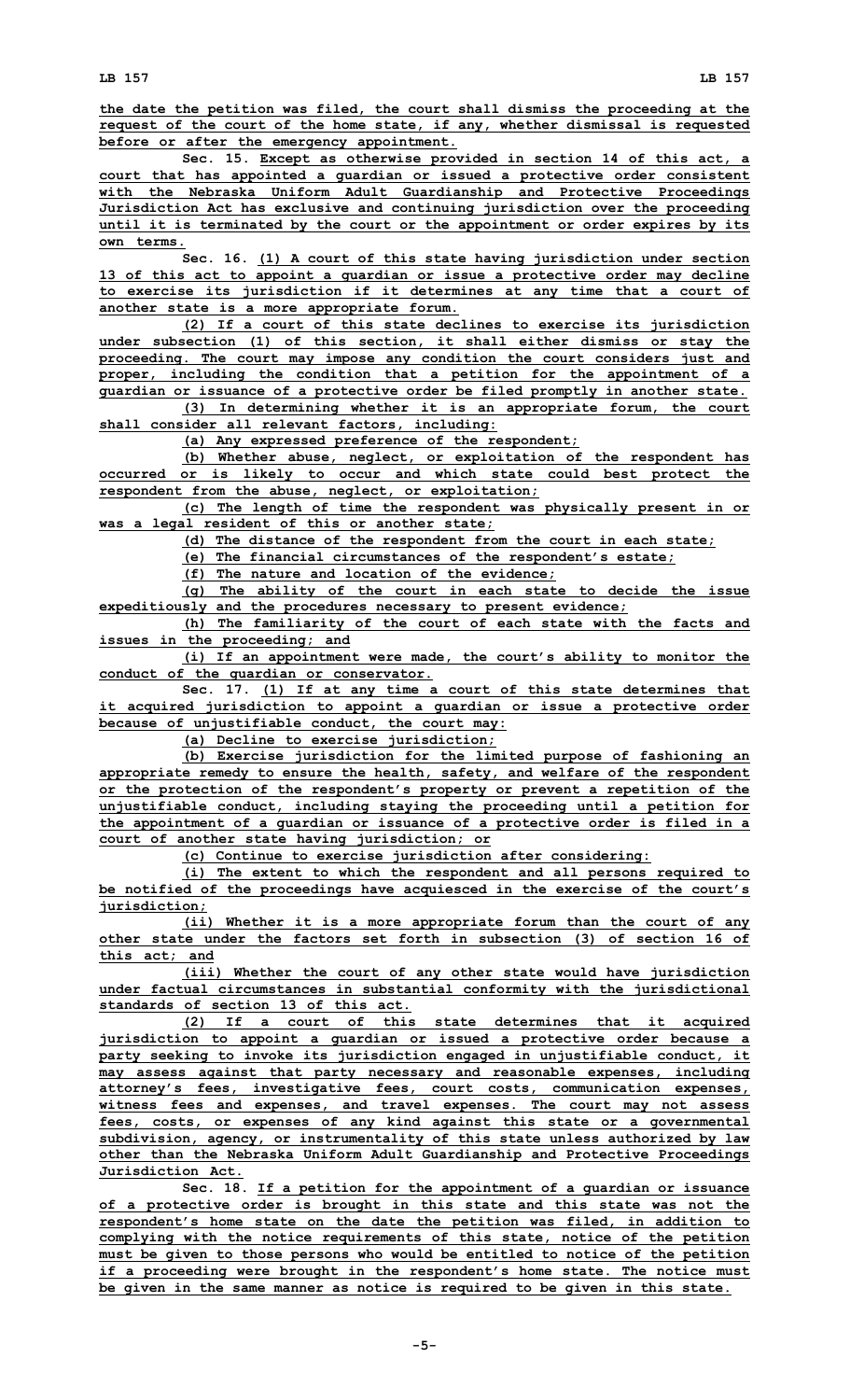**the date the petition was filed, the court shall dismiss the proceeding at the request of the court of the home state, if any, whether dismissal is requested before or after the emergency appointment.**

**Sec. 15. Except as otherwise provided in section 14 of this act, <sup>a</sup> court that has appointed <sup>a</sup> guardian or issued <sup>a</sup> protective order consistent with the Nebraska Uniform Adult Guardianship and Protective Proceedings Jurisdiction Act has exclusive and continuing jurisdiction over the proceeding until it is terminated by the court or the appointment or order expires by its own terms.**

**Sec. 16. (1) <sup>A</sup> court of this state having jurisdiction under section 13 of this act to appoint <sup>a</sup> guardian or issue <sup>a</sup> protective order may decline to exercise its jurisdiction if it determines at any time that <sup>a</sup> court of another state is <sup>a</sup> more appropriate forum.**

**(2) If <sup>a</sup> court of this state declines to exercise its jurisdiction under subsection (1) of this section, it shall either dismiss or stay the proceeding. The court may impose any condition the court considers just and proper, including the condition that <sup>a</sup> petition for the appointment of <sup>a</sup> guardian or issuance of <sup>a</sup> protective order be filed promptly in another state.**

**(3) In determining whether it is an appropriate forum, the court shall consider all relevant factors, including:**

**(a) Any expressed preference of the respondent;**

**(b) Whether abuse, neglect, or exploitation of the respondent has occurred or is likely to occur and which state could best protect the respondent from the abuse, neglect, or exploitation;**

**(c) The length of time the respondent was physically present in or was <sup>a</sup> legal resident of this or another state;**

**(d) The distance of the respondent from the court in each state;**

**(e) The financial circumstances of the respondent's estate;**

**(f) The nature and location of the evidence;**

**(g) The ability of the court in each state to decide the issue expeditiously and the procedures necessary to present evidence;**

**(h) The familiarity of the court of each state with the facts and issues in the proceeding; and**

**(i) If an appointment were made, the court's ability to monitor the conduct of the guardian or conservator.**

**Sec. 17. (1) If at any time <sup>a</sup> court of this state determines that it acquired jurisdiction to appoint <sup>a</sup> guardian or issue <sup>a</sup> protective order because of unjustifiable conduct, the court may:**

**(a) Decline to exercise jurisdiction;**

**(b) Exercise jurisdiction for the limited purpose of fashioning an appropriate remedy to ensure the health, safety, and welfare of the respondent or the protection of the respondent's property or prevent <sup>a</sup> repetition of the unjustifiable conduct, including staying the proceeding until <sup>a</sup> petition for the appointment of <sup>a</sup> guardian or issuance of <sup>a</sup> protective order is filed in <sup>a</sup> court of another state having jurisdiction; or**

**(c) Continue to exercise jurisdiction after considering:**

**(i) The extent to which the respondent and all persons required to be notified of the proceedings have acquiesced in the exercise of the court's jurisdiction;**

**(ii) Whether it is <sup>a</sup> more appropriate forum than the court of any other state under the factors set forth in subsection (3) of section 16 of this act; and**

**(iii) Whether the court of any other state would have jurisdiction under factual circumstances in substantial conformity with the jurisdictional standards of section 13 of this act.**

**(2) If <sup>a</sup> court of this state determines that it acquired jurisdiction to appoint <sup>a</sup> guardian or issued <sup>a</sup> protective order because <sup>a</sup> party seeking to invoke its jurisdiction engaged in unjustifiable conduct, it may assess against that party necessary and reasonable expenses, including attorney's fees, investigative fees, court costs, communication expenses, witness fees and expenses, and travel expenses. The court may not assess fees, costs, or expenses of any kind against this state or <sup>a</sup> governmental subdivision, agency, or instrumentality of this state unless authorized by law other than the Nebraska Uniform Adult Guardianship and Protective Proceedings Jurisdiction Act.**

**Sec. 18. If <sup>a</sup> petition for the appointment of <sup>a</sup> guardian or issuance of <sup>a</sup> protective order is brought in this state and this state was not the respondent's home state on the date the petition was filed, in addition to complying with the notice requirements of this state, notice of the petition must be given to those persons who would be entitled to notice of the petition if <sup>a</sup> proceeding were brought in the respondent's home state. The notice must be given in the same manner as notice is required to be given in this state.**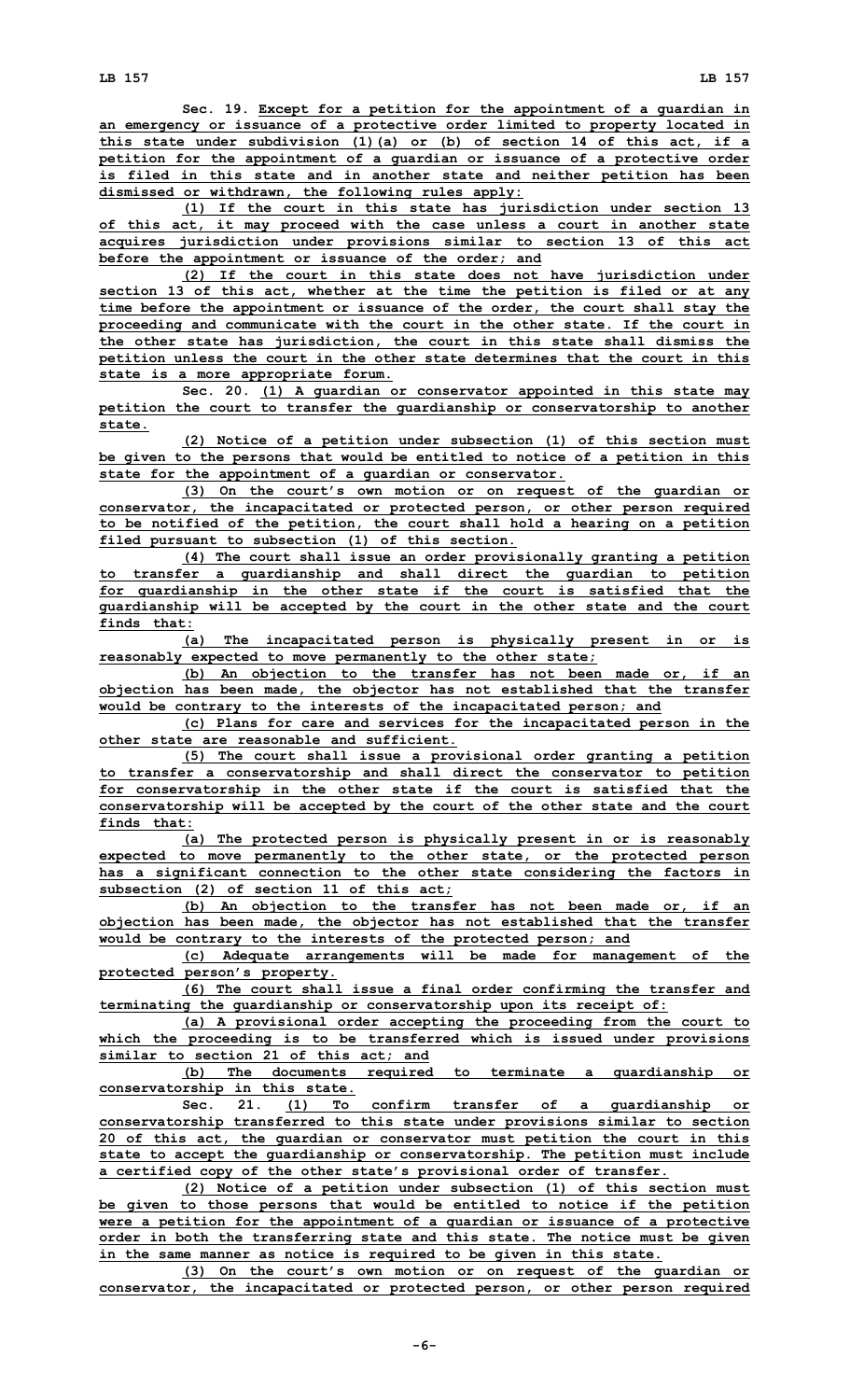**Sec. 19. Except for <sup>a</sup> petition for the appointment of <sup>a</sup> guardian in an emergency or issuance of <sup>a</sup> protective order limited to property located in this state under subdivision (1)(a) or (b) of section 14 of this act, if <sup>a</sup> petition for the appointment of <sup>a</sup> guardian or issuance of <sup>a</sup> protective order is filed in this state and in another state and neither petition has been dismissed or withdrawn, the following rules apply:**

**(1) If the court in this state has jurisdiction under section 13 of this act, it may proceed with the case unless <sup>a</sup> court in another state acquires jurisdiction under provisions similar to section 13 of this act before the appointment or issuance of the order; and**

**(2) If the court in this state does not have jurisdiction under section 13 of this act, whether at the time the petition is filed or at any time before the appointment or issuance of the order, the court shall stay the proceeding and communicate with the court in the other state. If the court in the other state has jurisdiction, the court in this state shall dismiss the petition unless the court in the other state determines that the court in this state is <sup>a</sup> more appropriate forum.**

**Sec. 20. (1) <sup>A</sup> guardian or conservator appointed in this state may petition the court to transfer the guardianship or conservatorship to another state.**

**(2) Notice of <sup>a</sup> petition under subsection (1) of this section must be given to the persons that would be entitled to notice of <sup>a</sup> petition in this state for the appointment of <sup>a</sup> guardian or conservator.**

**(3) On the court's own motion or on request of the guardian or conservator, the incapacitated or protected person, or other person required to be notified of the petition, the court shall hold <sup>a</sup> hearing on <sup>a</sup> petition filed pursuant to subsection (1) of this section.**

**(4) The court shall issue an order provisionally granting <sup>a</sup> petition to transfer <sup>a</sup> guardianship and shall direct the guardian to petition for guardianship in the other state if the court is satisfied that the guardianship will be accepted by the court in the other state and the court finds that:**

**(a) The incapacitated person is physically present in or is reasonably expected to move permanently to the other state;**

**(b) An objection to the transfer has not been made or, if an objection has been made, the objector has not established that the transfer would be contrary to the interests of the incapacitated person; and**

**(c) Plans for care and services for the incapacitated person in the other state are reasonable and sufficient.**

**(5) The court shall issue <sup>a</sup> provisional order granting <sup>a</sup> petition to transfer <sup>a</sup> conservatorship and shall direct the conservator to petition for conservatorship in the other state if the court is satisfied that the conservatorship will be accepted by the court of the other state and the court finds that:**

**(a) The protected person is physically present in or is reasonably expected to move permanently to the other state, or the protected person has <sup>a</sup> significant connection to the other state considering the factors in subsection (2) of section 11 of this act;**

**(b) An objection to the transfer has not been made or, if an objection has been made, the objector has not established that the transfer would be contrary to the interests of the protected person; and**

**(c) Adequate arrangements will be made for management of the protected person's property.**

**(6) The court shall issue <sup>a</sup> final order confirming the transfer and terminating the guardianship or conservatorship upon its receipt of:**

**(a) <sup>A</sup> provisional order accepting the proceeding from the court to which the proceeding is to be transferred which is issued under provisions similar to section 21 of this act; and**

**(b) The documents required to terminate <sup>a</sup> guardianship or conservatorship in this state.**

**Sec. 21. (1) To confirm transfer of <sup>a</sup> guardianship or conservatorship transferred to this state under provisions similar to section 20 of this act, the guardian or conservator must petition the court in this state to accept the guardianship or conservatorship. The petition must include <sup>a</sup> certified copy of the other state's provisional order of transfer.**

**(2) Notice of <sup>a</sup> petition under subsection (1) of this section must be given to those persons that would be entitled to notice if the petition were <sup>a</sup> petition for the appointment of <sup>a</sup> guardian or issuance of <sup>a</sup> protective order in both the transferring state and this state. The notice must be given in the same manner as notice is required to be given in this state.**

**(3) On the court's own motion or on request of the guardian or conservator, the incapacitated or protected person, or other person required**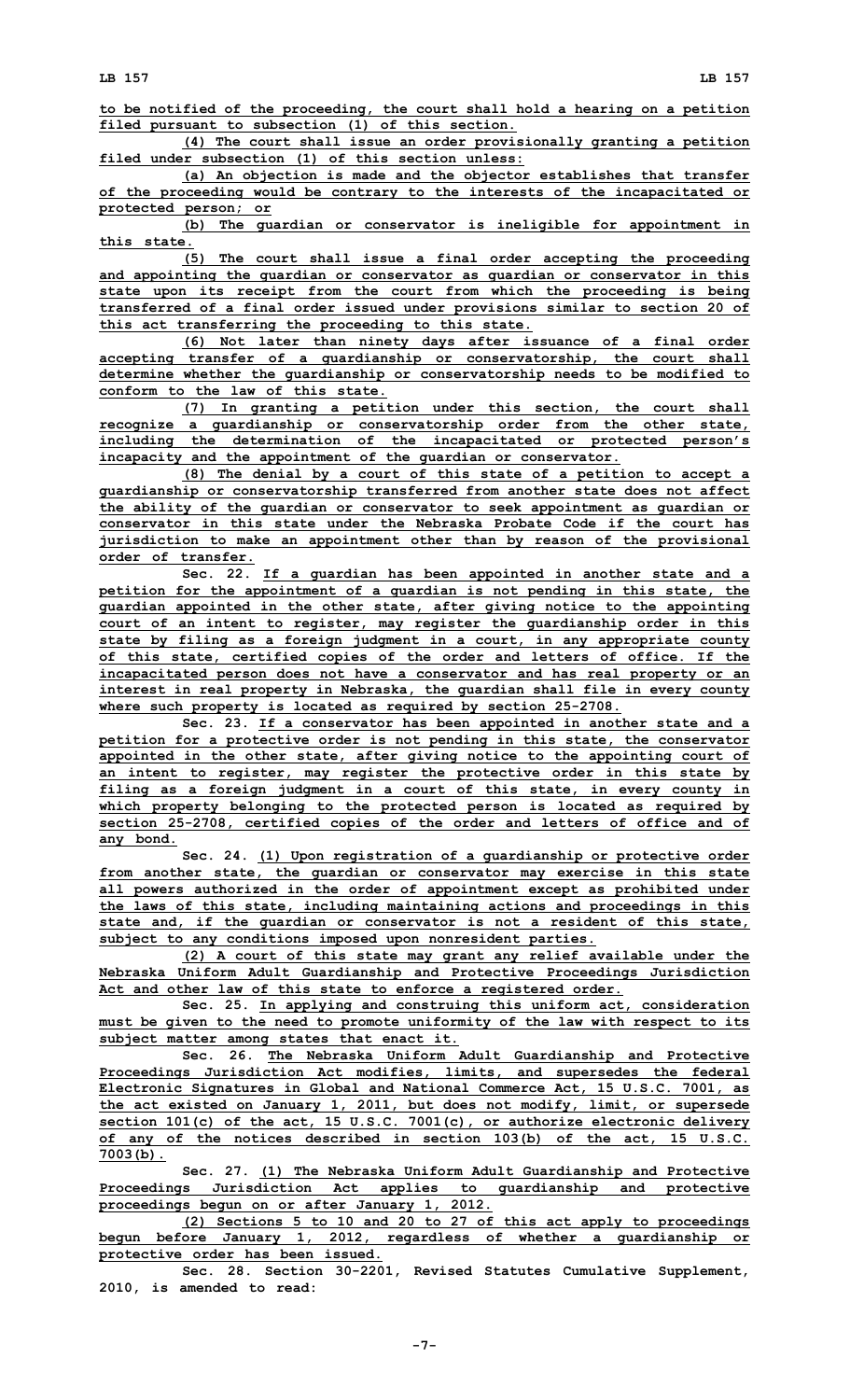**to be notified of the proceeding, the court shall hold <sup>a</sup> hearing on <sup>a</sup> petition filed pursuant to subsection (1) of this section.**

**(4) The court shall issue an order provisionally granting <sup>a</sup> petition filed under subsection (1) of this section unless:**

**(a) An objection is made and the objector establishes that transfer of the proceeding would be contrary to the interests of the incapacitated or protected person; or**

**(b) The guardian or conservator is ineligible for appointment in this state.**

**(5) The court shall issue <sup>a</sup> final order accepting the proceeding and appointing the guardian or conservator as guardian or conservator in this state upon its receipt from the court from which the proceeding is being transferred of <sup>a</sup> final order issued under provisions similar to section 20 of this act transferring the proceeding to this state.**

**(6) Not later than ninety days after issuance of <sup>a</sup> final order accepting transfer of <sup>a</sup> guardianship or conservatorship, the court shall determine whether the guardianship or conservatorship needs to be modified to conform to the law of this state.**

**(7) In granting <sup>a</sup> petition under this section, the court shall recognize <sup>a</sup> guardianship or conservatorship order from the other state, including the determination of the incapacitated or protected person's incapacity and the appointment of the guardian or conservator.**

**(8) The denial by <sup>a</sup> court of this state of <sup>a</sup> petition to accept <sup>a</sup> guardianship or conservatorship transferred from another state does not affect the ability of the guardian or conservator to seek appointment as guardian or conservator in this state under the Nebraska Probate Code if the court has jurisdiction to make an appointment other than by reason of the provisional order of transfer.**

**Sec. 22. If <sup>a</sup> guardian has been appointed in another state and <sup>a</sup> petition for the appointment of <sup>a</sup> guardian is not pending in this state, the guardian appointed in the other state, after giving notice to the appointing court of an intent to register, may register the guardianship order in this state by filing as <sup>a</sup> foreign judgment in <sup>a</sup> court, in any appropriate county of this state, certified copies of the order and letters of office. If the incapacitated person does not have <sup>a</sup> conservator and has real property or an interest in real property in Nebraska, the guardian shall file in every county where such property is located as required by section 25-2708.**

**Sec. 23. If <sup>a</sup> conservator has been appointed in another state and <sup>a</sup> petition for <sup>a</sup> protective order is not pending in this state, the conservator appointed in the other state, after giving notice to the appointing court of an intent to register, may register the protective order in this state by filing as <sup>a</sup> foreign judgment in <sup>a</sup> court of this state, in every county in which property belonging to the protected person is located as required by section 25-2708, certified copies of the order and letters of office and of any bond.**

**Sec. 24. (1) Upon registration of <sup>a</sup> guardianship or protective order from another state, the guardian or conservator may exercise in this state all powers authorized in the order of appointment except as prohibited under the laws of this state, including maintaining actions and proceedings in this state and, if the guardian or conservator is not <sup>a</sup> resident of this state, subject to any conditions imposed upon nonresident parties.**

**(2) <sup>A</sup> court of this state may grant any relief available under the Nebraska Uniform Adult Guardianship and Protective Proceedings Jurisdiction Act and other law of this state to enforce <sup>a</sup> registered order.**

**Sec. 25. In applying and construing this uniform act, consideration must be given to the need to promote uniformity of the law with respect to its subject matter among states that enact it.**

**Sec. 26. The Nebraska Uniform Adult Guardianship and Protective Proceedings Jurisdiction Act modifies, limits, and supersedes the federal Electronic Signatures in Global and National Commerce Act, 15 U.S.C. 7001, as the act existed on January 1, 2011, but does not modify, limit, or supersede section 101(c) of the act, 15 U.S.C. 7001(c), or authorize electronic delivery of any of the notices described in section 103(b) of the act, 15 U.S.C. 7003(b).**

**Sec. 27. (1) The Nebraska Uniform Adult Guardianship and Protective Proceedings Jurisdiction Act applies to guardianship and protective proceedings begun on or after January 1, 2012.**

**(2) Sections 5 to 10 and 20 to 27 of this act apply to proceedings begun before January 1, 2012, regardless of whether <sup>a</sup> guardianship or protective order has been issued.**

**Sec. 28. Section 30-2201, Revised Statutes Cumulative Supplement, 2010, is amended to read:**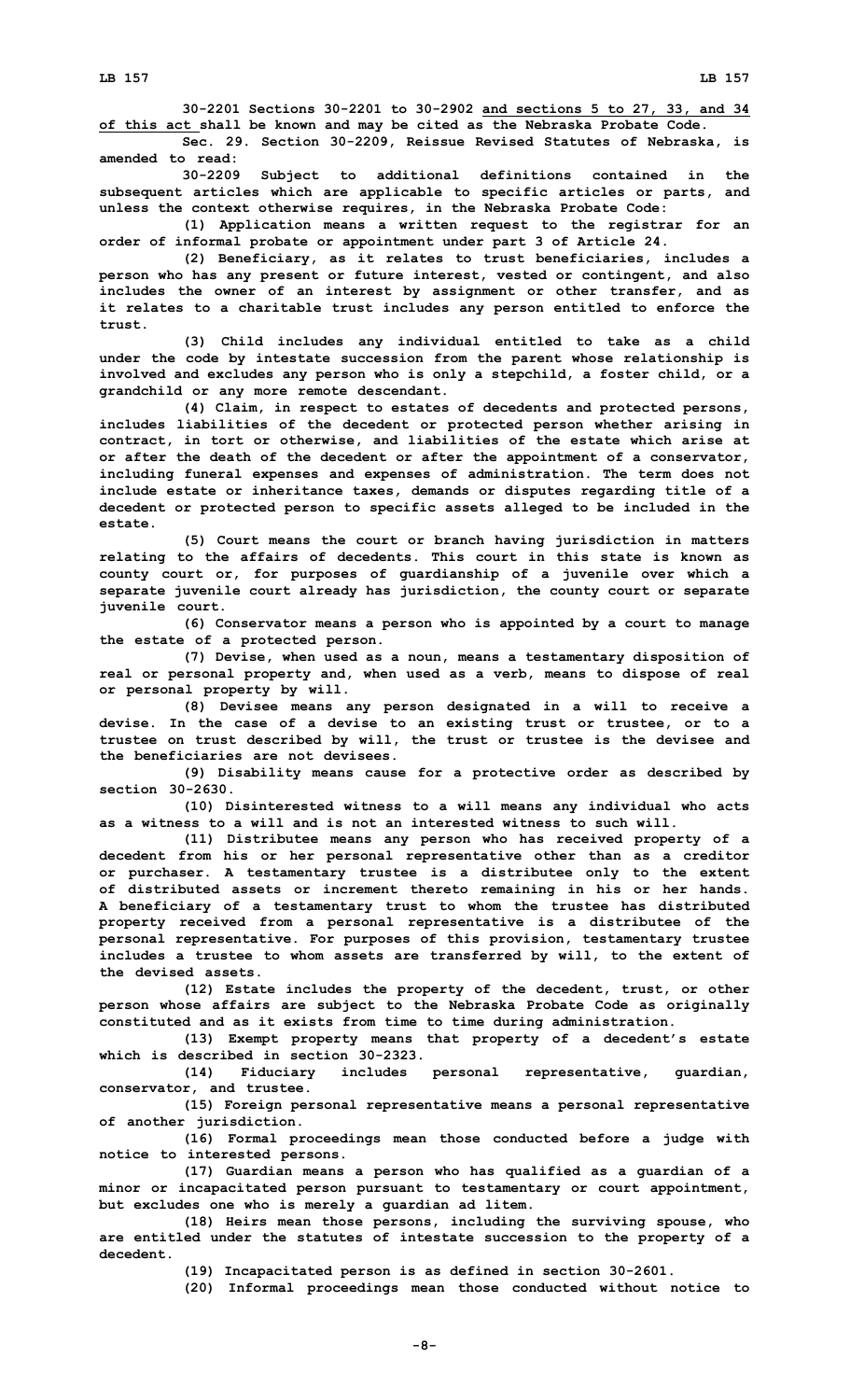**30-2201 Sections 30-2201 to 30-2902 and sections 5 to 27, 33, and 34 of this act shall be known and may be cited as the Nebraska Probate Code.**

**Sec. 29. Section 30-2209, Reissue Revised Statutes of Nebraska, is amended to read:**

**30-2209 Subject to additional definitions contained in the subsequent articles which are applicable to specific articles or parts, and unless the context otherwise requires, in the Nebraska Probate Code:**

**(1) Application means <sup>a</sup> written request to the registrar for an order of informal probate or appointment under part 3 of Article 24.**

**(2) Beneficiary, as it relates to trust beneficiaries, includes <sup>a</sup> person who has any present or future interest, vested or contingent, and also includes the owner of an interest by assignment or other transfer, and as it relates to <sup>a</sup> charitable trust includes any person entitled to enforce the trust.**

**(3) Child includes any individual entitled to take as <sup>a</sup> child under the code by intestate succession from the parent whose relationship is involved and excludes any person who is only <sup>a</sup> stepchild, <sup>a</sup> foster child, or <sup>a</sup> grandchild or any more remote descendant.**

**(4) Claim, in respect to estates of decedents and protected persons, includes liabilities of the decedent or protected person whether arising in contract, in tort or otherwise, and liabilities of the estate which arise at or after the death of the decedent or after the appointment of <sup>a</sup> conservator, including funeral expenses and expenses of administration. The term does not include estate or inheritance taxes, demands or disputes regarding title of <sup>a</sup> decedent or protected person to specific assets alleged to be included in the estate.**

**(5) Court means the court or branch having jurisdiction in matters relating to the affairs of decedents. This court in this state is known as county court or, for purposes of guardianship of <sup>a</sup> juvenile over which <sup>a</sup> separate juvenile court already has jurisdiction, the county court or separate juvenile court.**

**(6) Conservator means <sup>a</sup> person who is appointed by <sup>a</sup> court to manage the estate of <sup>a</sup> protected person.**

**(7) Devise, when used as <sup>a</sup> noun, means <sup>a</sup> testamentary disposition of real or personal property and, when used as <sup>a</sup> verb, means to dispose of real or personal property by will.**

**(8) Devisee means any person designated in <sup>a</sup> will to receive <sup>a</sup> devise. In the case of <sup>a</sup> devise to an existing trust or trustee, or to <sup>a</sup> trustee on trust described by will, the trust or trustee is the devisee and the beneficiaries are not devisees.**

**(9) Disability means cause for <sup>a</sup> protective order as described by section 30-2630.**

**(10) Disinterested witness to <sup>a</sup> will means any individual who acts as a witness to a will and is not an interested witness to such will.**

**(11) Distributee means any person who has received property of <sup>a</sup> decedent from his or her personal representative other than as <sup>a</sup> creditor or purchaser. A testamentary trustee is <sup>a</sup> distributee only to the extent of distributed assets or increment thereto remaining in his or her hands. A beneficiary of <sup>a</sup> testamentary trust to whom the trustee has distributed property received from <sup>a</sup> personal representative is <sup>a</sup> distributee of the personal representative. For purposes of this provision, testamentary trustee includes <sup>a</sup> trustee to whom assets are transferred by will, to the extent of the devised assets.**

**(12) Estate includes the property of the decedent, trust, or other person whose affairs are subject to the Nebraska Probate Code as originally constituted and as it exists from time to time during administration.**

**(13) Exempt property means that property of <sup>a</sup> decedent's estate which is described in section 30-2323.**

**(14) Fiduciary includes personal representative, guardian, conservator, and trustee.**

**(15) Foreign personal representative means <sup>a</sup> personal representative of another jurisdiction.**

**(16) Formal proceedings mean those conducted before <sup>a</sup> judge with notice to interested persons.**

**(17) Guardian means <sup>a</sup> person who has qualified as <sup>a</sup> guardian of <sup>a</sup> minor or incapacitated person pursuant to testamentary or court appointment, but excludes one who is merely <sup>a</sup> guardian ad litem.**

**(18) Heirs mean those persons, including the surviving spouse, who are entitled under the statutes of intestate succession to the property of <sup>a</sup> decedent.**

**(19) Incapacitated person is as defined in section 30-2601.**

**(20) Informal proceedings mean those conducted without notice to**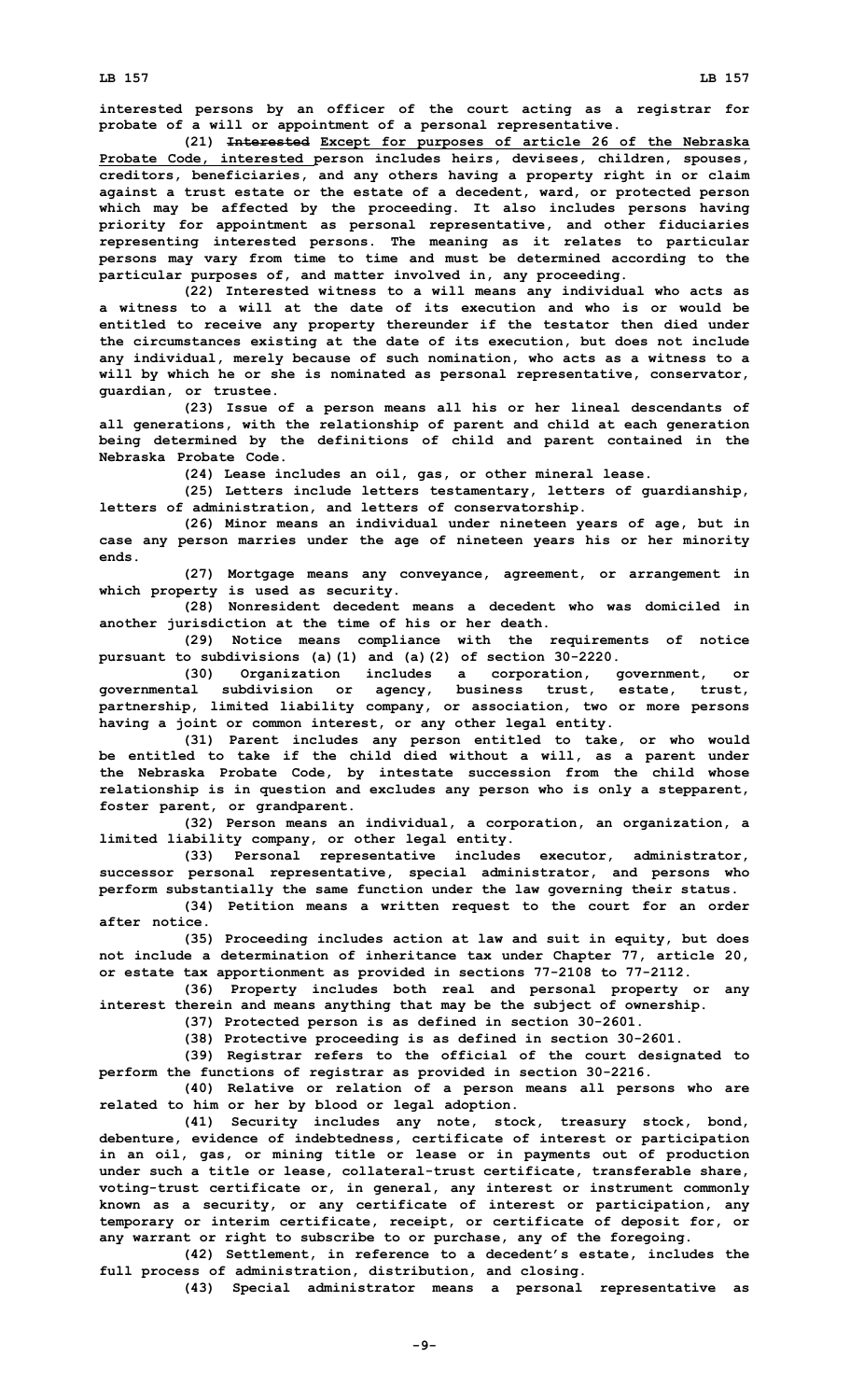**interested persons by an officer of the court acting as <sup>a</sup> registrar for probate of <sup>a</sup> will or appointment of <sup>a</sup> personal representative.**

**(21) Interested Except for purposes of article 26 of the Nebraska Probate Code, interested person includes heirs, devisees, children, spouses, creditors, beneficiaries, and any others having <sup>a</sup> property right in or claim against <sup>a</sup> trust estate or the estate of <sup>a</sup> decedent, ward, or protected person which may be affected by the proceeding. It also includes persons having priority for appointment as personal representative, and other fiduciaries representing interested persons. The meaning as it relates to particular persons may vary from time to time and must be determined according to the particular purposes of, and matter involved in, any proceeding.**

**(22) Interested witness to <sup>a</sup> will means any individual who acts as a witness to a will at the date of its execution and who is or would be entitled to receive any property thereunder if the testator then died under the circumstances existing at the date of its execution, but does not include any individual, merely because of such nomination, who acts as <sup>a</sup> witness to <sup>a</sup> will by which he or she is nominated as personal representative, conservator, guardian, or trustee.**

**(23) Issue of <sup>a</sup> person means all his or her lineal descendants of all generations, with the relationship of parent and child at each generation being determined by the definitions of child and parent contained in the Nebraska Probate Code.**

**(24) Lease includes an oil, gas, or other mineral lease.**

**(25) Letters include letters testamentary, letters of guardianship, letters of administration, and letters of conservatorship.**

**(26) Minor means an individual under nineteen years of age, but in case any person marries under the age of nineteen years his or her minority ends.**

**(27) Mortgage means any conveyance, agreement, or arrangement in which property is used as security.**

**(28) Nonresident decedent means <sup>a</sup> decedent who was domiciled in another jurisdiction at the time of his or her death.**

**(29) Notice means compliance with the requirements of notice pursuant to subdivisions (a)(1) and (a)(2) of section 30-2220.**

**(30) Organization includes <sup>a</sup> corporation, government, or governmental subdivision or agency, business trust, estate, trust, partnership, limited liability company, or association, two or more persons having <sup>a</sup> joint or common interest, or any other legal entity.**

**(31) Parent includes any person entitled to take, or who would be entitled to take if the child died without <sup>a</sup> will, as <sup>a</sup> parent under the Nebraska Probate Code, by intestate succession from the child whose relationship is in question and excludes any person who is only <sup>a</sup> stepparent, foster parent, or grandparent.**

**(32) Person means an individual, <sup>a</sup> corporation, an organization, <sup>a</sup> limited liability company, or other legal entity.**

**(33) Personal representative includes executor, administrator, successor personal representative, special administrator, and persons who perform substantially the same function under the law governing their status.**

**(34) Petition means <sup>a</sup> written request to the court for an order after notice.**

**(35) Proceeding includes action at law and suit in equity, but does not include <sup>a</sup> determination of inheritance tax under Chapter 77, article 20, or estate tax apportionment as provided in sections 77-2108 to 77-2112.**

**(36) Property includes both real and personal property or any interest therein and means anything that may be the subject of ownership.**

**(37) Protected person is as defined in section 30-2601.**

**(38) Protective proceeding is as defined in section 30-2601.**

**(39) Registrar refers to the official of the court designated to perform the functions of registrar as provided in section 30-2216.**

**(40) Relative or relation of <sup>a</sup> person means all persons who are related to him or her by blood or legal adoption.**

**(41) Security includes any note, stock, treasury stock, bond, debenture, evidence of indebtedness, certificate of interest or participation in an oil, gas, or mining title or lease or in payments out of production under such <sup>a</sup> title or lease, collateral-trust certificate, transferable share, voting-trust certificate or, in general, any interest or instrument commonly known as <sup>a</sup> security, or any certificate of interest or participation, any temporary or interim certificate, receipt, or certificate of deposit for, or any warrant or right to subscribe to or purchase, any of the foregoing.**

**(42) Settlement, in reference to <sup>a</sup> decedent's estate, includes the full process of administration, distribution, and closing.**

**(43) Special administrator means <sup>a</sup> personal representative as**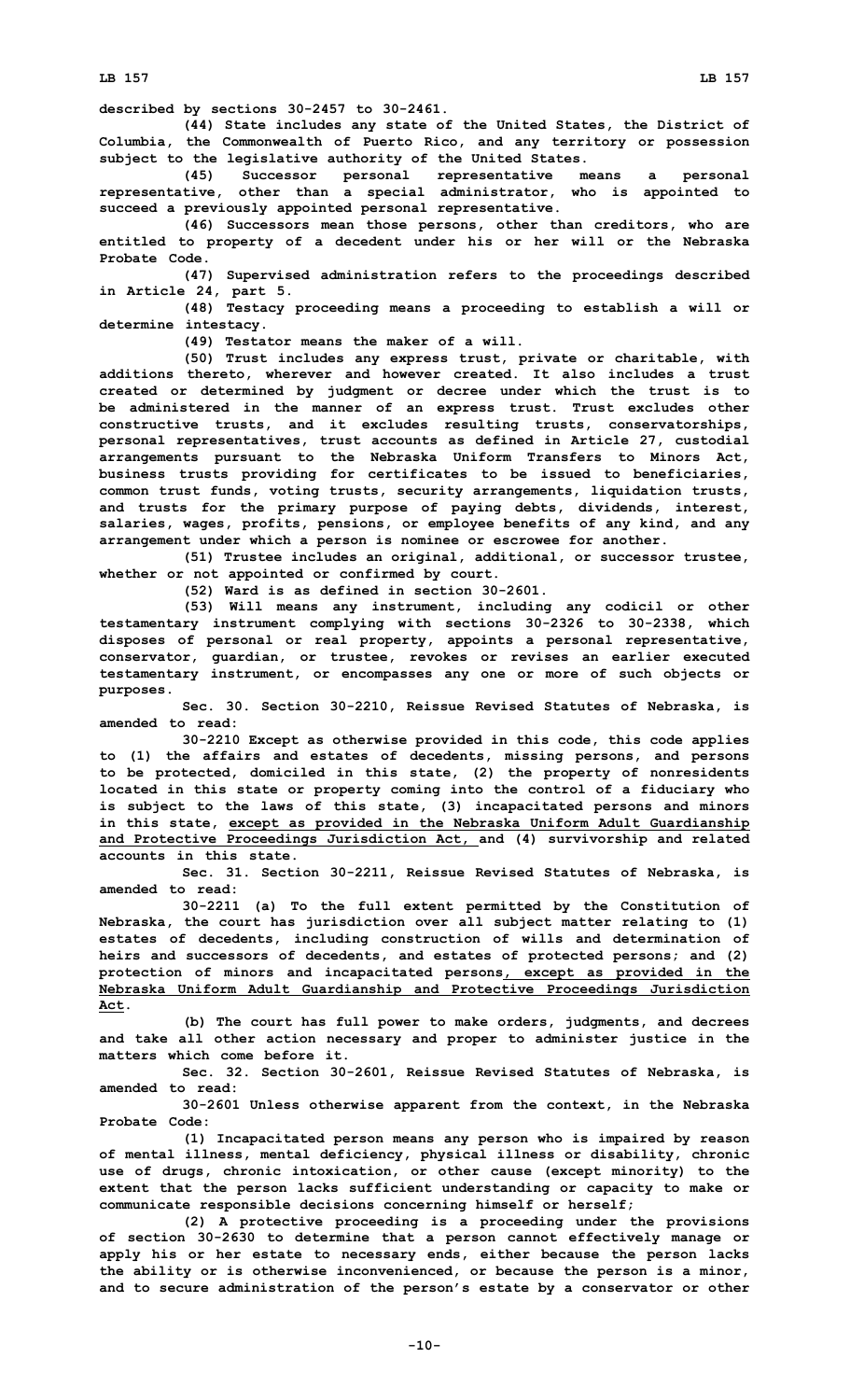**LB 157 LB 157**

**described by sections 30-2457 to 30-2461.**

**(44) State includes any state of the United States, the District of Columbia, the Commonwealth of Puerto Rico, and any territory or possession subject to the legislative authority of the United States.**

**(45) Successor personal representative means <sup>a</sup> personal representative, other than <sup>a</sup> special administrator, who is appointed to succeed <sup>a</sup> previously appointed personal representative.**

**(46) Successors mean those persons, other than creditors, who are entitled to property of <sup>a</sup> decedent under his or her will or the Nebraska Probate Code.**

**(47) Supervised administration refers to the proceedings described in Article 24, part 5.**

**(48) Testacy proceeding means <sup>a</sup> proceeding to establish <sup>a</sup> will or determine intestacy.**

**(49) Testator means the maker of <sup>a</sup> will.**

**(50) Trust includes any express trust, private or charitable, with additions thereto, wherever and however created. It also includes <sup>a</sup> trust created or determined by judgment or decree under which the trust is to be administered in the manner of an express trust. Trust excludes other constructive trusts, and it excludes resulting trusts, conservatorships, personal representatives, trust accounts as defined in Article 27, custodial arrangements pursuant to the Nebraska Uniform Transfers to Minors Act, business trusts providing for certificates to be issued to beneficiaries, common trust funds, voting trusts, security arrangements, liquidation trusts, and trusts for the primary purpose of paying debts, dividends, interest, salaries, wages, profits, pensions, or employee benefits of any kind, and any arrangement under which <sup>a</sup> person is nominee or escrowee for another.**

**(51) Trustee includes an original, additional, or successor trustee, whether or not appointed or confirmed by court.**

**(52) Ward is as defined in section 30-2601.**

**(53) Will means any instrument, including any codicil or other testamentary instrument complying with sections 30-2326 to 30-2338, which disposes of personal or real property, appoints <sup>a</sup> personal representative, conservator, guardian, or trustee, revokes or revises an earlier executed testamentary instrument, or encompasses any one or more of such objects or purposes.**

**Sec. 30. Section 30-2210, Reissue Revised Statutes of Nebraska, is amended to read:**

**30-2210 Except as otherwise provided in this code, this code applies to (1) the affairs and estates of decedents, missing persons, and persons to be protected, domiciled in this state, (2) the property of nonresidents located in this state or property coming into the control of <sup>a</sup> fiduciary who is subject to the laws of this state, (3) incapacitated persons and minors in this state, except as provided in the Nebraska Uniform Adult Guardianship and Protective Proceedings Jurisdiction Act, and (4) survivorship and related accounts in this state.**

**Sec. 31. Section 30-2211, Reissue Revised Statutes of Nebraska, is amended to read:**

**30-2211 (a) To the full extent permitted by the Constitution of Nebraska, the court has jurisdiction over all subject matter relating to (1) estates of decedents, including construction of wills and determination of heirs and successors of decedents, and estates of protected persons; and (2) protection of minors and incapacitated persons, except as provided in the Nebraska Uniform Adult Guardianship and Protective Proceedings Jurisdiction Act.**

**(b) The court has full power to make orders, judgments, and decrees and take all other action necessary and proper to administer justice in the matters which come before it.**

**Sec. 32. Section 30-2601, Reissue Revised Statutes of Nebraska, is amended to read:**

**30-2601 Unless otherwise apparent from the context, in the Nebraska Probate Code:**

**(1) Incapacitated person means any person who is impaired by reason of mental illness, mental deficiency, physical illness or disability, chronic use of drugs, chronic intoxication, or other cause (except minority) to the extent that the person lacks sufficient understanding or capacity to make or communicate responsible decisions concerning himself or herself;**

**(2) <sup>A</sup> protective proceeding is <sup>a</sup> proceeding under the provisions of section 30-2630 to determine that <sup>a</sup> person cannot effectively manage or apply his or her estate to necessary ends, either because the person lacks the ability or is otherwise inconvenienced, or because the person is <sup>a</sup> minor, and to secure administration of the person's estate by <sup>a</sup> conservator or other**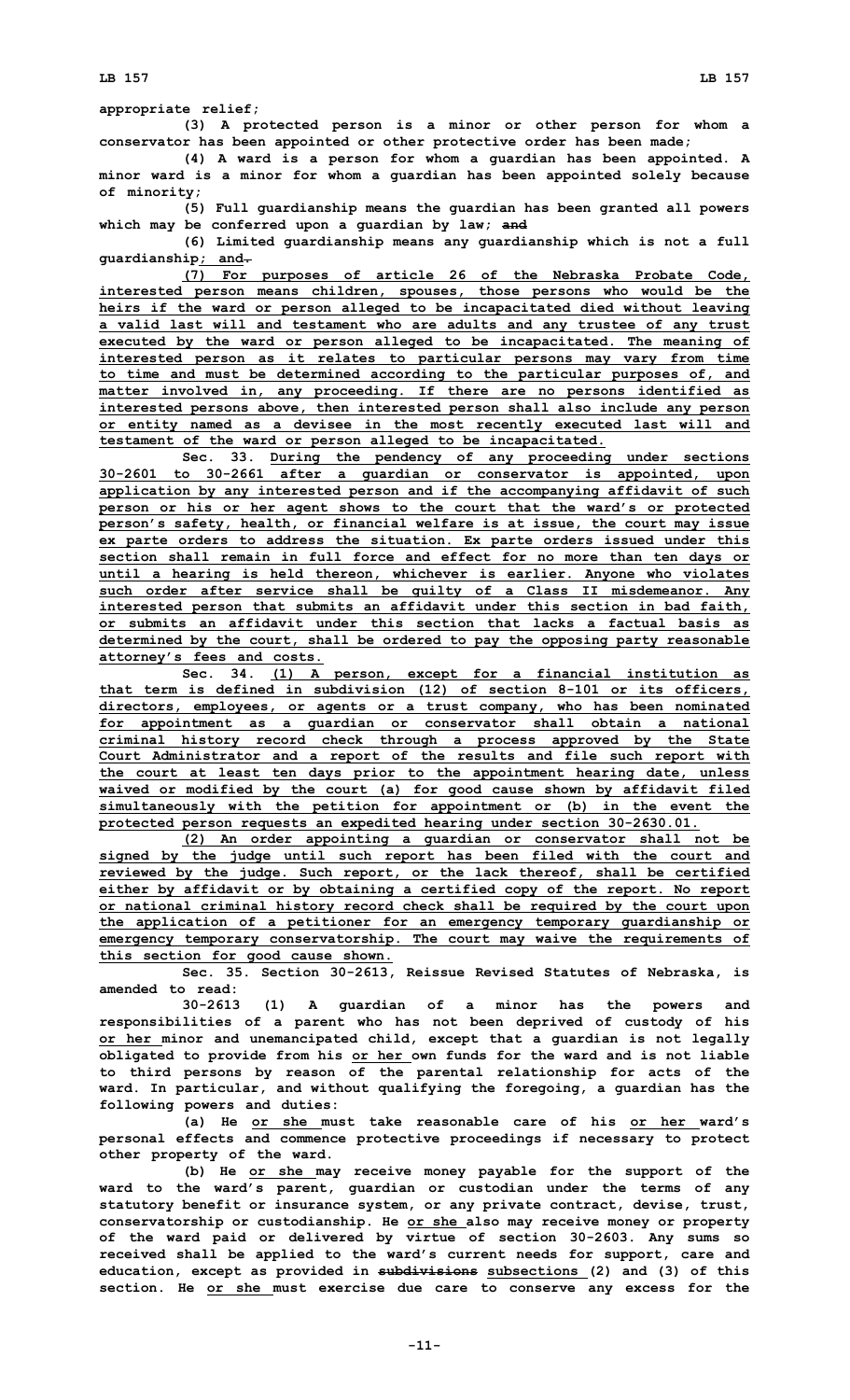## **appropriate relief;**

**(3) <sup>A</sup> protected person is <sup>a</sup> minor or other person for whom <sup>a</sup> conservator has been appointed or other protective order has been made;**

**(4) <sup>A</sup> ward is <sup>a</sup> person for whom <sup>a</sup> guardian has been appointed. <sup>A</sup> minor ward is <sup>a</sup> minor for whom <sup>a</sup> guardian has been appointed solely because of minority;**

**(5) Full guardianship means the guardian has been granted all powers which may be conferred upon <sup>a</sup> guardian by law; and**

**(6) Limited guardianship means any guardianship which is not <sup>a</sup> full guardianship; and.**

**(7) For purposes of article 26 of the Nebraska Probate Code, interested person means children, spouses, those persons who would be the heirs if the ward or person alleged to be incapacitated died without leaving <sup>a</sup> valid last will and testament who are adults and any trustee of any trust executed by the ward or person alleged to be incapacitated. The meaning of interested person as it relates to particular persons may vary from time to time and must be determined according to the particular purposes of, and matter involved in, any proceeding. If there are no persons identified as interested persons above, then interested person shall also include any person or entity named as <sup>a</sup> devisee in the most recently executed last will and testament of the ward or person alleged to be incapacitated.**

**Sec. 33. During the pendency of any proceeding under sections 30-2601 to 30-2661 after <sup>a</sup> guardian or conservator is appointed, upon application by any interested person and if the accompanying affidavit of such person or his or her agent shows to the court that the ward's or protected person's safety, health, or financial welfare is at issue, the court may issue ex parte orders to address the situation. Ex parte orders issued under this section shall remain in full force and effect for no more than ten days or until <sup>a</sup> hearing is held thereon, whichever is earlier. Anyone who violates such order after service shall be guilty of <sup>a</sup> Class II misdemeanor. Any interested person that submits an affidavit under this section in bad faith, or submits an affidavit under this section that lacks a factual basis as determined by the court, shall be ordered to pay the opposing party reasonable attorney's fees and costs.**

**Sec. 34. (1) <sup>A</sup> person, except for <sup>a</sup> financial institution as that term is defined in subdivision (12) of section 8-101 or its officers, directors, employees, or agents or <sup>a</sup> trust company, who has been nominated for appointment as <sup>a</sup> guardian or conservator shall obtain <sup>a</sup> national criminal history record check through <sup>a</sup> process approved by the State Court Administrator and <sup>a</sup> report of the results and file such report with the court at least ten days prior to the appointment hearing date, unless waived or modified by the court (a) for good cause shown by affidavit filed simultaneously with the petition for appointment or (b) in the event the protected person requests an expedited hearing under section 30-2630.01.**

**(2) An order appointing <sup>a</sup> guardian or conservator shall not be signed by the judge until such report has been filed with the court and reviewed by the judge. Such report, or the lack thereof, shall be certified either by affidavit or by obtaining <sup>a</sup> certified copy of the report. No report or national criminal history record check shall be required by the court upon the application of <sup>a</sup> petitioner for an emergency temporary guardianship or emergency temporary conservatorship. The court may waive the requirements of this section for good cause shown.**

**Sec. 35. Section 30-2613, Reissue Revised Statutes of Nebraska, is amended to read:**

**30-2613 (1) <sup>A</sup> guardian of <sup>a</sup> minor has the powers and responsibilities of <sup>a</sup> parent who has not been deprived of custody of his or her minor and unemancipated child, except that <sup>a</sup> guardian is not legally obligated to provide from his or her own funds for the ward and is not liable to third persons by reason of the parental relationship for acts of the ward. In particular, and without qualifying the foregoing, <sup>a</sup> guardian has the following powers and duties:**

**(a) He or she must take reasonable care of his or her ward's personal effects and commence protective proceedings if necessary to protect other property of the ward.**

**(b) He or she may receive money payable for the support of the ward to the ward's parent, guardian or custodian under the terms of any statutory benefit or insurance system, or any private contract, devise, trust, conservatorship or custodianship. He or she also may receive money or property of the ward paid or delivered by virtue of section 30-2603. Any sums so received shall be applied to the ward's current needs for support, care and education, except as provided in subdivisions subsections (2) and (3) of this section. He or she must exercise due care to conserve any excess for the**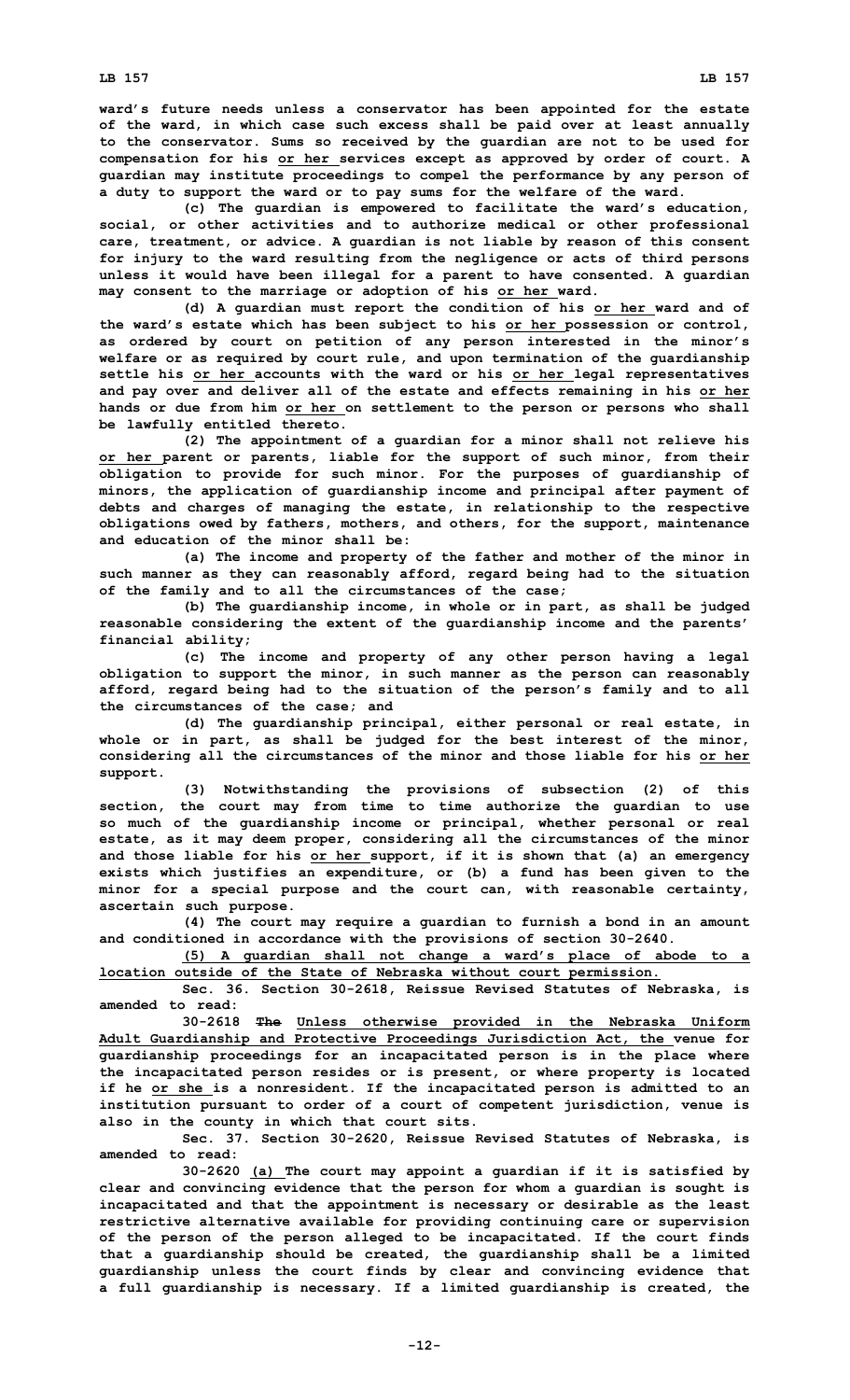**ward's future needs unless <sup>a</sup> conservator has been appointed for the estate of the ward, in which case such excess shall be paid over at least annually to the conservator. Sums so received by the guardian are not to be used for compensation for his or her services except as approved by order of court. A guardian may institute proceedings to compel the performance by any person of <sup>a</sup> duty to support the ward or to pay sums for the welfare of the ward.**

**(c) The guardian is empowered to facilitate the ward's education, social, or other activities and to authorize medical or other professional care, treatment, or advice. A guardian is not liable by reason of this consent for injury to the ward resulting from the negligence or acts of third persons unless it would have been illegal for <sup>a</sup> parent to have consented. A guardian may consent to the marriage or adoption of his or her ward.**

**(d) <sup>A</sup> guardian must report the condition of his or her ward and of the ward's estate which has been subject to his or her possession or control, as ordered by court on petition of any person interested in the minor's welfare or as required by court rule, and upon termination of the guardianship settle his or her accounts with the ward or his or her legal representatives and pay over and deliver all of the estate and effects remaining in his or her hands or due from him or her on settlement to the person or persons who shall be lawfully entitled thereto.**

**(2) The appointment of <sup>a</sup> guardian for <sup>a</sup> minor shall not relieve his or her parent or parents, liable for the support of such minor, from their obligation to provide for such minor. For the purposes of guardianship of minors, the application of guardianship income and principal after payment of debts and charges of managing the estate, in relationship to the respective obligations owed by fathers, mothers, and others, for the support, maintenance and education of the minor shall be:**

**(a) The income and property of the father and mother of the minor in such manner as they can reasonably afford, regard being had to the situation of the family and to all the circumstances of the case;**

**(b) The guardianship income, in whole or in part, as shall be judged reasonable considering the extent of the guardianship income and the parents' financial ability;**

**(c) The income and property of any other person having <sup>a</sup> legal obligation to support the minor, in such manner as the person can reasonably afford, regard being had to the situation of the person's family and to all the circumstances of the case; and**

**(d) The guardianship principal, either personal or real estate, in whole or in part, as shall be judged for the best interest of the minor, considering all the circumstances of the minor and those liable for his or her support.**

**(3) Notwithstanding the provisions of subsection (2) of this section, the court may from time to time authorize the guardian to use so much of the guardianship income or principal, whether personal or real estate, as it may deem proper, considering all the circumstances of the minor and those liable for his or her support, if it is shown that (a) an emergency exists which justifies an expenditure, or (b) <sup>a</sup> fund has been given to the minor for <sup>a</sup> special purpose and the court can, with reasonable certainty, ascertain such purpose.**

**(4) The court may require <sup>a</sup> guardian to furnish <sup>a</sup> bond in an amount and conditioned in accordance with the provisions of section 30-2640.**

**(5) <sup>A</sup> guardian shall not change <sup>a</sup> ward's place of abode to <sup>a</sup> location outside of the State of Nebraska without court permission.**

**Sec. 36. Section 30-2618, Reissue Revised Statutes of Nebraska, is amended to read:**

**30-2618 The Unless otherwise provided in the Nebraska Uniform Adult Guardianship and Protective Proceedings Jurisdiction Act, the venue for guardianship proceedings for an incapacitated person is in the place where the incapacitated person resides or is present, or where property is located if he or she is <sup>a</sup> nonresident. If the incapacitated person is admitted to an institution pursuant to order of <sup>a</sup> court of competent jurisdiction, venue is also in the county in which that court sits.**

**Sec. 37. Section 30-2620, Reissue Revised Statutes of Nebraska, is amended to read:**

**30-2620 (a) The court may appoint <sup>a</sup> guardian if it is satisfied by clear and convincing evidence that the person for whom <sup>a</sup> guardian is sought is incapacitated and that the appointment is necessary or desirable as the least restrictive alternative available for providing continuing care or supervision of the person of the person alleged to be incapacitated. If the court finds that <sup>a</sup> guardianship should be created, the guardianship shall be <sup>a</sup> limited guardianship unless the court finds by clear and convincing evidence that <sup>a</sup> full guardianship is necessary. If <sup>a</sup> limited guardianship is created, the**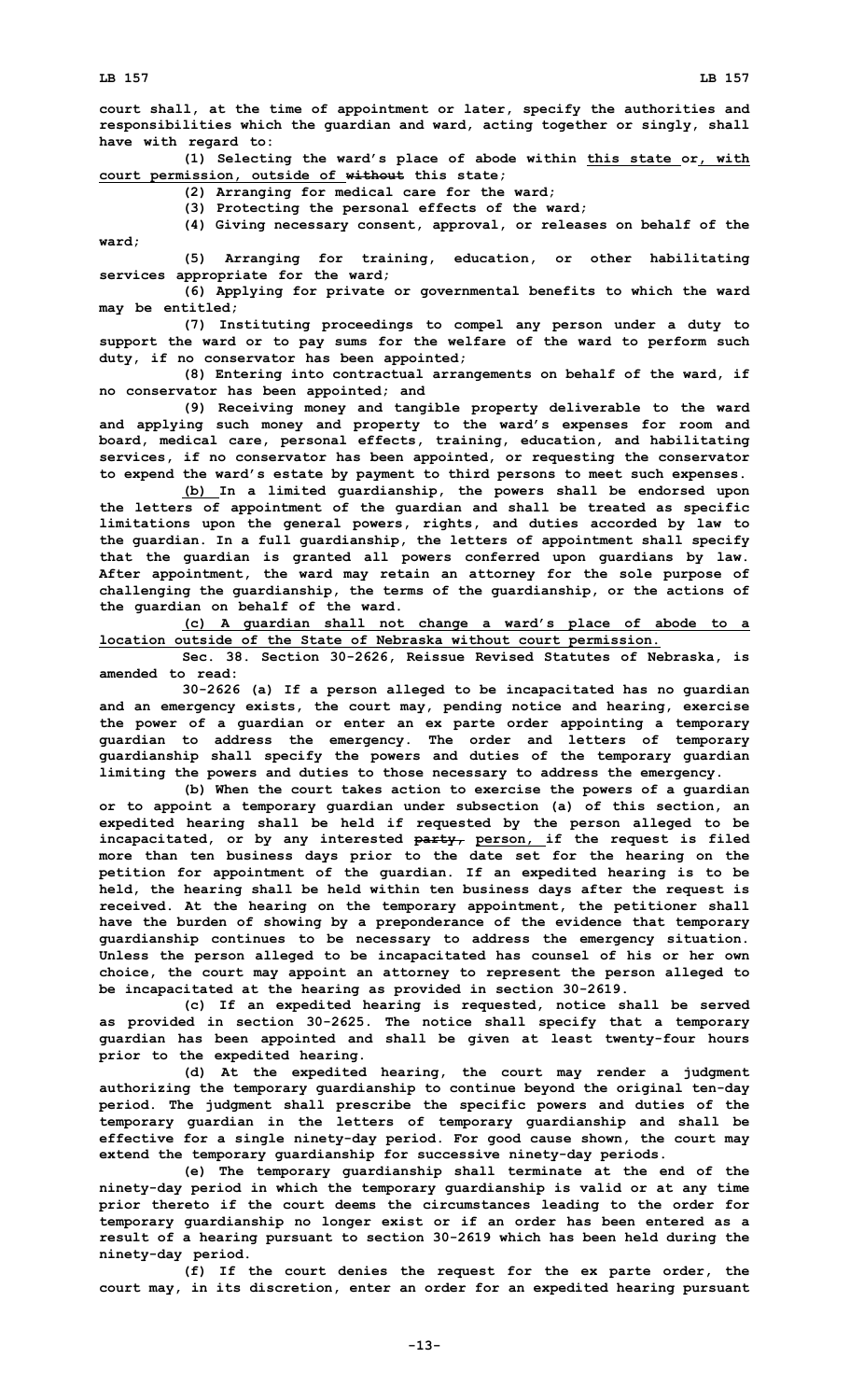**court shall, at the time of appointment or later, specify the authorities and responsibilities which the guardian and ward, acting together or singly, shall have with regard to:**

**(1) Selecting the ward's place of abode within this state or, with court permission, outside of without this state;**

**(2) Arranging for medical care for the ward;**

**(3) Protecting the personal effects of the ward;**

**(4) Giving necessary consent, approval, or releases on behalf of the ward;**

**(5) Arranging for training, education, or other habilitating services appropriate for the ward;**

**(6) Applying for private or governmental benefits to which the ward may be entitled;**

**(7) Instituting proceedings to compel any person under <sup>a</sup> duty to support the ward or to pay sums for the welfare of the ward to perform such duty, if no conservator has been appointed;**

**(8) Entering into contractual arrangements on behalf of the ward, if no conservator has been appointed; and**

**(9) Receiving money and tangible property deliverable to the ward and applying such money and property to the ward's expenses for room and board, medical care, personal effects, training, education, and habilitating services, if no conservator has been appointed, or requesting the conservator to expend the ward's estate by payment to third persons to meet such expenses.**

**(b) In <sup>a</sup> limited guardianship, the powers shall be endorsed upon the letters of appointment of the guardian and shall be treated as specific limitations upon the general powers, rights, and duties accorded by law to the guardian. In <sup>a</sup> full guardianship, the letters of appointment shall specify that the guardian is granted all powers conferred upon guardians by law. After appointment, the ward may retain an attorney for the sole purpose of challenging the guardianship, the terms of the guardianship, or the actions of the guardian on behalf of the ward.**

**(c) <sup>A</sup> guardian shall not change <sup>a</sup> ward's place of abode to <sup>a</sup> location outside of the State of Nebraska without court permission.**

**Sec. 38. Section 30-2626, Reissue Revised Statutes of Nebraska, is amended to read:**

**30-2626 (a) If <sup>a</sup> person alleged to be incapacitated has no guardian and an emergency exists, the court may, pending notice and hearing, exercise the power of <sup>a</sup> guardian or enter an ex parte order appointing <sup>a</sup> temporary guardian to address the emergency. The order and letters of temporary guardianship shall specify the powers and duties of the temporary guardian limiting the powers and duties to those necessary to address the emergency.**

**(b) When the court takes action to exercise the powers of <sup>a</sup> guardian or to appoint <sup>a</sup> temporary guardian under subsection (a) of this section, an expedited hearing shall be held if requested by the person alleged to be incapacitated, or by any interested party, person, if the request is filed more than ten business days prior to the date set for the hearing on the petition for appointment of the guardian. If an expedited hearing is to be held, the hearing shall be held within ten business days after the request is received. At the hearing on the temporary appointment, the petitioner shall have the burden of showing by <sup>a</sup> preponderance of the evidence that temporary guardianship continues to be necessary to address the emergency situation. Unless the person alleged to be incapacitated has counsel of his or her own choice, the court may appoint an attorney to represent the person alleged to be incapacitated at the hearing as provided in section 30-2619.**

**(c) If an expedited hearing is requested, notice shall be served as provided in section 30-2625. The notice shall specify that <sup>a</sup> temporary guardian has been appointed and shall be given at least twenty-four hours prior to the expedited hearing.**

**(d) At the expedited hearing, the court may render <sup>a</sup> judgment authorizing the temporary guardianship to continue beyond the original ten-day period. The judgment shall prescribe the specific powers and duties of the temporary guardian in the letters of temporary guardianship and shall be effective for <sup>a</sup> single ninety-day period. For good cause shown, the court may extend the temporary guardianship for successive ninety-day periods.**

**(e) The temporary guardianship shall terminate at the end of the ninety-day period in which the temporary guardianship is valid or at any time prior thereto if the court deems the circumstances leading to the order for temporary guardianship no longer exist or if an order has been entered as <sup>a</sup> result of <sup>a</sup> hearing pursuant to section 30-2619 which has been held during the ninety-day period.**

**(f) If the court denies the request for the ex parte order, the court may, in its discretion, enter an order for an expedited hearing pursuant**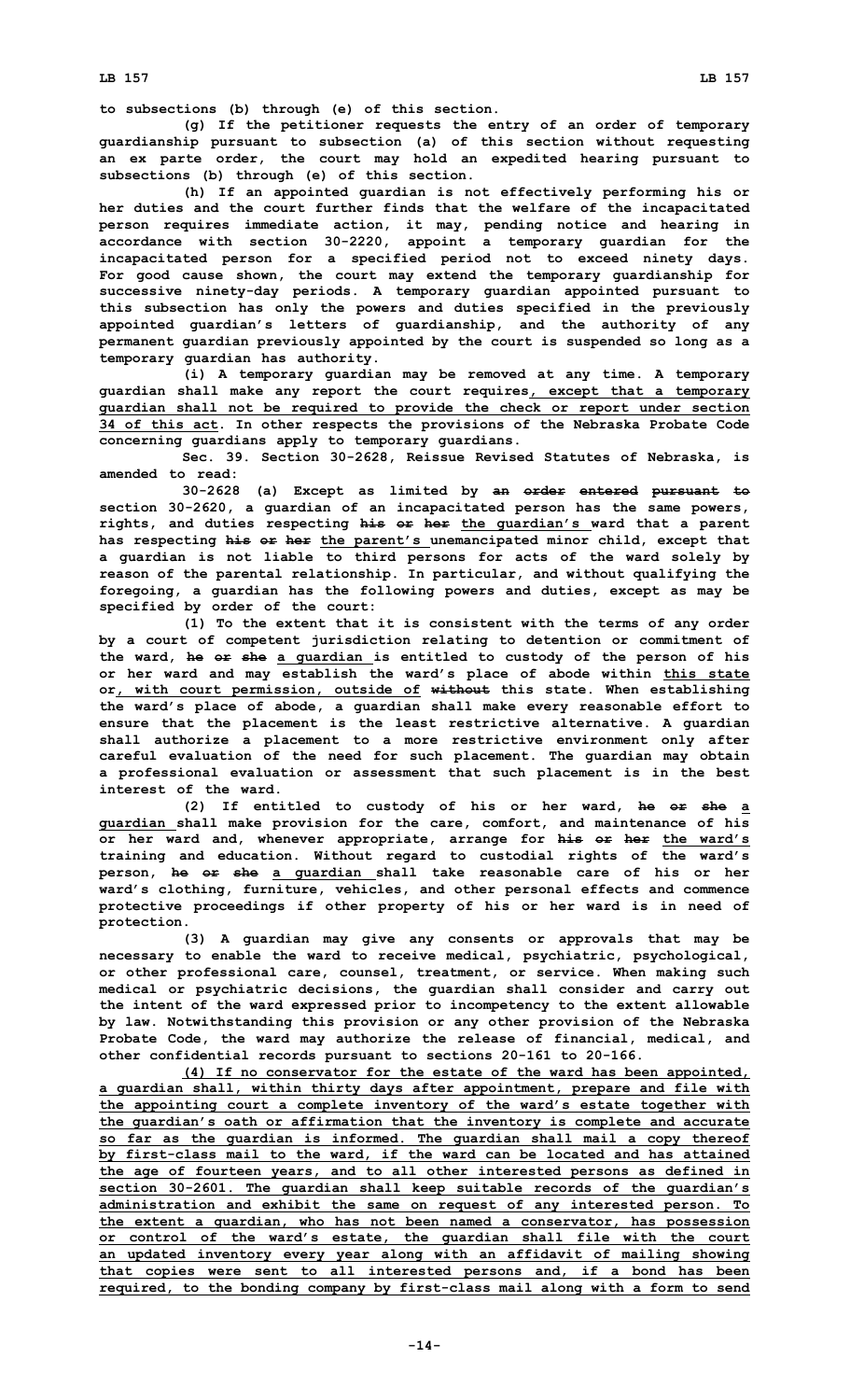**to subsections (b) through (e) of this section.**

**(g) If the petitioner requests the entry of an order of temporary guardianship pursuant to subsection (a) of this section without requesting an ex parte order, the court may hold an expedited hearing pursuant to subsections (b) through (e) of this section.**

**(h) If an appointed guardian is not effectively performing his or her duties and the court further finds that the welfare of the incapacitated person requires immediate action, it may, pending notice and hearing in accordance with section 30-2220, appoint <sup>a</sup> temporary guardian for the incapacitated person for <sup>a</sup> specified period not to exceed ninety days. For good cause shown, the court may extend the temporary guardianship for successive ninety-day periods. A temporary guardian appointed pursuant to this subsection has only the powers and duties specified in the previously appointed guardian's letters of guardianship, and the authority of any permanent guardian previously appointed by the court is suspended so long as <sup>a</sup> temporary guardian has authority.**

**(i) <sup>A</sup> temporary guardian may be removed at any time. <sup>A</sup> temporary guardian shall make any report the court requires, except that <sup>a</sup> temporary guardian shall not be required to provide the check or report under section 34 of this act. In other respects the provisions of the Nebraska Probate Code concerning guardians apply to temporary guardians.**

**Sec. 39. Section 30-2628, Reissue Revised Statutes of Nebraska, is amended to read:**

**30-2628 (a) Except as limited by an order entered pursuant to section 30-2620, <sup>a</sup> guardian of an incapacitated person has the same powers, rights, and duties respecting his or her the guardian's ward that <sup>a</sup> parent has respecting his or her the parent's unemancipated minor child, except that <sup>a</sup> guardian is not liable to third persons for acts of the ward solely by reason of the parental relationship. In particular, and without qualifying the foregoing, <sup>a</sup> guardian has the following powers and duties, except as may be specified by order of the court:**

**(1) To the extent that it is consistent with the terms of any order by <sup>a</sup> court of competent jurisdiction relating to detention or commitment of the ward, he or she <sup>a</sup> guardian is entitled to custody of the person of his or her ward and may establish the ward's place of abode within this state or, with court permission, outside of without this state. When establishing the ward's place of abode, <sup>a</sup> guardian shall make every reasonable effort to ensure that the placement is the least restrictive alternative. A guardian shall authorize <sup>a</sup> placement to <sup>a</sup> more restrictive environment only after careful evaluation of the need for such placement. The guardian may obtain <sup>a</sup> professional evaluation or assessment that such placement is in the best interest of the ward.**

**(2) If entitled to custody of his or her ward, he or she <sup>a</sup> guardian shall make provision for the care, comfort, and maintenance of his or her ward and, whenever appropriate, arrange for his or her the ward's training and education. Without regard to custodial rights of the ward's person, he or she <sup>a</sup> guardian shall take reasonable care of his or her ward's clothing, furniture, vehicles, and other personal effects and commence protective proceedings if other property of his or her ward is in need of protection.**

**(3) <sup>A</sup> guardian may give any consents or approvals that may be necessary to enable the ward to receive medical, psychiatric, psychological, or other professional care, counsel, treatment, or service. When making such medical or psychiatric decisions, the guardian shall consider and carry out the intent of the ward expressed prior to incompetency to the extent allowable by law. Notwithstanding this provision or any other provision of the Nebraska Probate Code, the ward may authorize the release of financial, medical, and other confidential records pursuant to sections 20-161 to 20-166.**

**(4) If no conservator for the estate of the ward has been appointed, <sup>a</sup> guardian shall, within thirty days after appointment, prepare and file with the appointing court <sup>a</sup> complete inventory of the ward's estate together with the guardian's oath or affirmation that the inventory is complete and accurate so far as the guardian is informed. The guardian shall mail <sup>a</sup> copy thereof by first-class mail to the ward, if the ward can be located and has attained the age of fourteen years, and to all other interested persons as defined in section 30-2601. The guardian shall keep suitable records of the guardian's administration and exhibit the same on request of any interested person. To the extent <sup>a</sup> guardian, who has not been named <sup>a</sup> conservator, has possession or control of the ward's estate, the guardian shall file with the court an updated inventory every year along with an affidavit of mailing showing that copies were sent to all interested persons and, if <sup>a</sup> bond has been required, to the bonding company by first-class mail along with <sup>a</sup> form to send**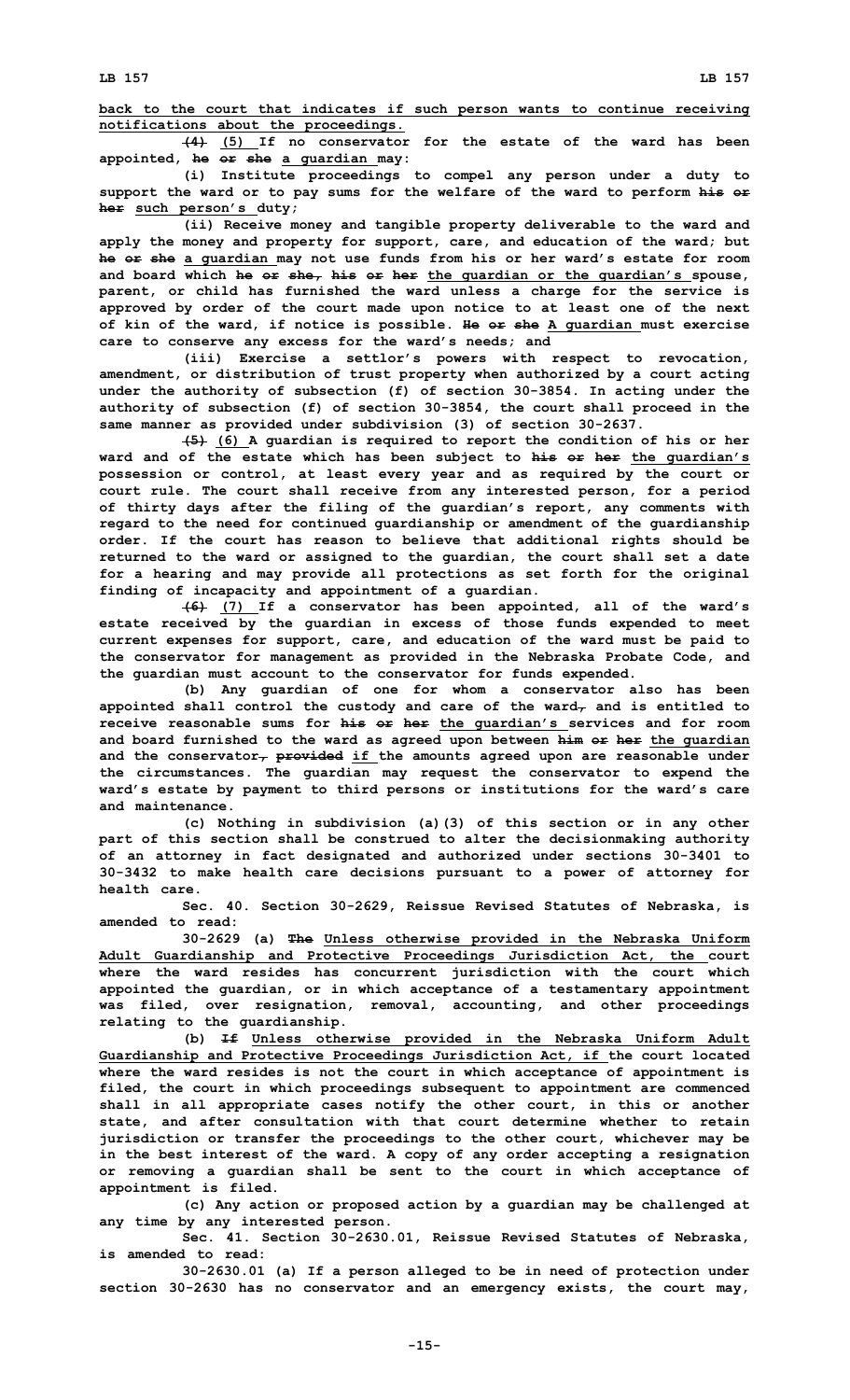**back to the court that indicates if such person wants to continue receiving notifications about the proceedings.**

**(4) (5) If no conservator for the estate of the ward has been appointed, he or she <sup>a</sup> guardian may:**

**(i) Institute proceedings to compel any person under <sup>a</sup> duty to support the ward or to pay sums for the welfare of the ward to perform his or her such person's duty;**

**(ii) Receive money and tangible property deliverable to the ward and apply the money and property for support, care, and education of the ward; but he or she <sup>a</sup> guardian may not use funds from his or her ward's estate for room and board which he or she, his or her the guardian or the guardian's spouse, parent, or child has furnished the ward unless <sup>a</sup> charge for the service is approved by order of the court made upon notice to at least one of the next of kin of the ward, if notice is possible. He or she A guardian must exercise care to conserve any excess for the ward's needs; and**

**(iii) Exercise <sup>a</sup> settlor's powers with respect to revocation, amendment, or distribution of trust property when authorized by <sup>a</sup> court acting under the authority of subsection (f) of section 30-3854. In acting under the authority of subsection (f) of section 30-3854, the court shall proceed in the same manner as provided under subdivision (3) of section 30-2637.**

**(5) (6) <sup>A</sup> guardian is required to report the condition of his or her ward and of the estate which has been subject to his or her the guardian's possession or control, at least every year and as required by the court or court rule. The court shall receive from any interested person, for <sup>a</sup> period of thirty days after the filing of the guardian's report, any comments with regard to the need for continued guardianship or amendment of the guardianship order. If the court has reason to believe that additional rights should be returned to the ward or assigned to the guardian, the court shall set <sup>a</sup> date for <sup>a</sup> hearing and may provide all protections as set forth for the original finding of incapacity and appointment of <sup>a</sup> guardian.**

**(6) (7) If <sup>a</sup> conservator has been appointed, all of the ward's estate received by the guardian in excess of those funds expended to meet current expenses for support, care, and education of the ward must be paid to the conservator for management as provided in the Nebraska Probate Code, and the guardian must account to the conservator for funds expended.**

**(b) Any guardian of one for whom <sup>a</sup> conservator also has been appointed shall control the custody and care of the ward, and is entitled to receive reasonable sums for his or her the guardian's services and for room and board furnished to the ward as agreed upon between him or her the guardian and the conservator, provided if the amounts agreed upon are reasonable under the circumstances. The guardian may request the conservator to expend the ward's estate by payment to third persons or institutions for the ward's care and maintenance.**

**(c) Nothing in subdivision (a)(3) of this section or in any other part of this section shall be construed to alter the decisionmaking authority of an attorney in fact designated and authorized under sections 30-3401 to 30-3432 to make health care decisions pursuant to <sup>a</sup> power of attorney for health care.**

**Sec. 40. Section 30-2629, Reissue Revised Statutes of Nebraska, is amended to read:**

**30-2629 (a) The Unless otherwise provided in the Nebraska Uniform Adult Guardianship and Protective Proceedings Jurisdiction Act, the court where the ward resides has concurrent jurisdiction with the court which appointed the guardian, or in which acceptance of <sup>a</sup> testamentary appointment was filed, over resignation, removal, accounting, and other proceedings relating to the guardianship.**

**(b) If Unless otherwise provided in the Nebraska Uniform Adult Guardianship and Protective Proceedings Jurisdiction Act, if the court located where the ward resides is not the court in which acceptance of appointment is filed, the court in which proceedings subsequent to appointment are commenced shall in all appropriate cases notify the other court, in this or another state, and after consultation with that court determine whether to retain jurisdiction or transfer the proceedings to the other court, whichever may be in the best interest of the ward. A copy of any order accepting <sup>a</sup> resignation or removing <sup>a</sup> guardian shall be sent to the court in which acceptance of appointment is filed.**

**(c) Any action or proposed action by <sup>a</sup> guardian may be challenged at any time by any interested person.**

**Sec. 41. Section 30-2630.01, Reissue Revised Statutes of Nebraska, is amended to read:**

**30-2630.01 (a) If <sup>a</sup> person alleged to be in need of protection under section 30-2630 has no conservator and an emergency exists, the court may,**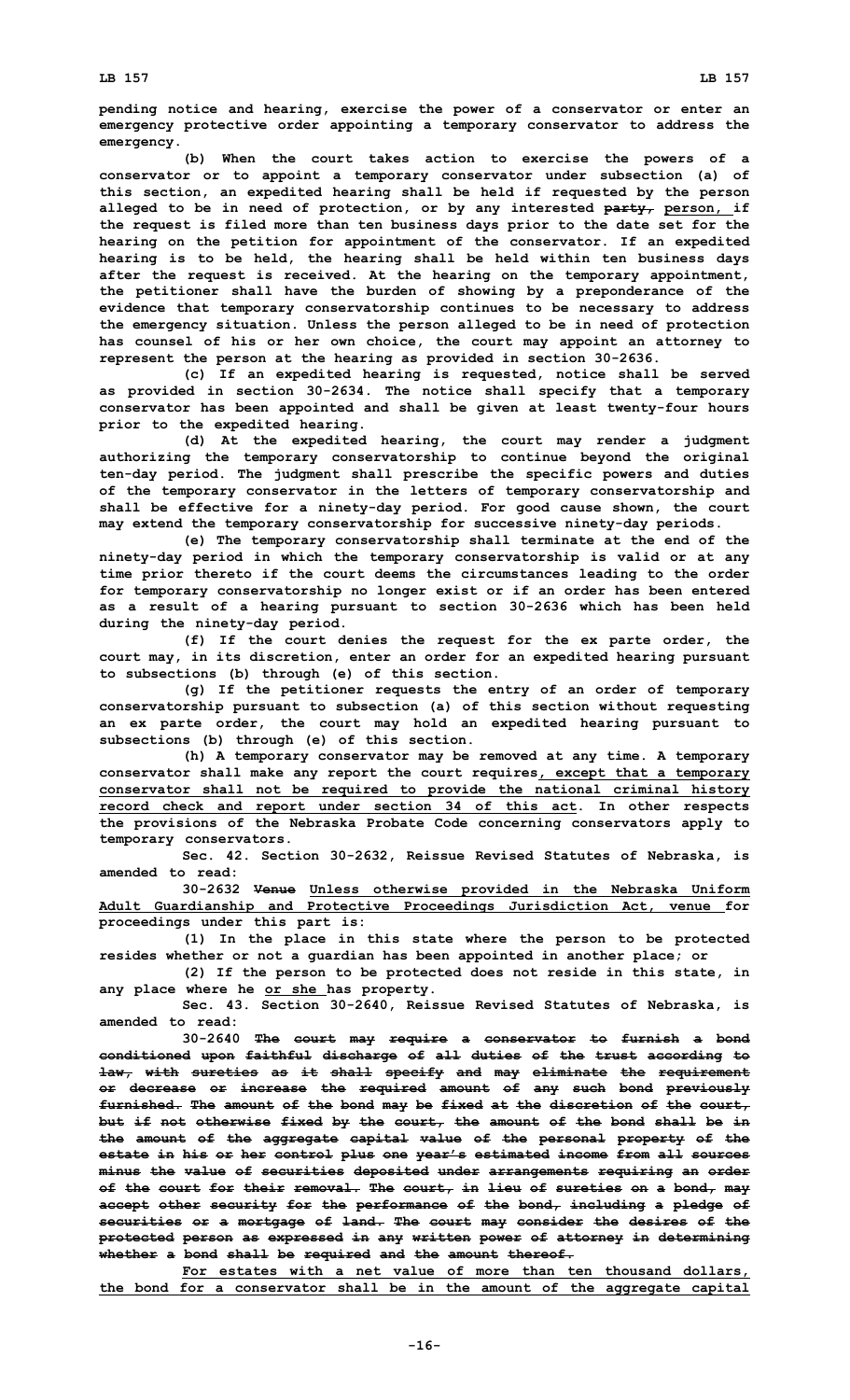**pending notice and hearing, exercise the power of <sup>a</sup> conservator or enter an emergency protective order appointing <sup>a</sup> temporary conservator to address the emergency.**

**(b) When the court takes action to exercise the powers of <sup>a</sup> conservator or to appoint <sup>a</sup> temporary conservator under subsection (a) of this section, an expedited hearing shall be held if requested by the person alleged to be in need of protection, or by any interested party, person, if the request is filed more than ten business days prior to the date set for the hearing on the petition for appointment of the conservator. If an expedited hearing is to be held, the hearing shall be held within ten business days after the request is received. At the hearing on the temporary appointment, the petitioner shall have the burden of showing by <sup>a</sup> preponderance of the evidence that temporary conservatorship continues to be necessary to address the emergency situation. Unless the person alleged to be in need of protection has counsel of his or her own choice, the court may appoint an attorney to represent the person at the hearing as provided in section 30-2636.**

**(c) If an expedited hearing is requested, notice shall be served as provided in section 30-2634. The notice shall specify that <sup>a</sup> temporary conservator has been appointed and shall be given at least twenty-four hours prior to the expedited hearing.**

**(d) At the expedited hearing, the court may render <sup>a</sup> judgment authorizing the temporary conservatorship to continue beyond the original ten-day period. The judgment shall prescribe the specific powers and duties of the temporary conservator in the letters of temporary conservatorship and shall be effective for <sup>a</sup> ninety-day period. For good cause shown, the court may extend the temporary conservatorship for successive ninety-day periods.**

**(e) The temporary conservatorship shall terminate at the end of the ninety-day period in which the temporary conservatorship is valid or at any time prior thereto if the court deems the circumstances leading to the order for temporary conservatorship no longer exist or if an order has been entered as <sup>a</sup> result of <sup>a</sup> hearing pursuant to section 30-2636 which has been held during the ninety-day period.**

**(f) If the court denies the request for the ex parte order, the court may, in its discretion, enter an order for an expedited hearing pursuant to subsections (b) through (e) of this section.**

**(g) If the petitioner requests the entry of an order of temporary conservatorship pursuant to subsection (a) of this section without requesting an ex parte order, the court may hold an expedited hearing pursuant to subsections (b) through (e) of this section.**

**(h) <sup>A</sup> temporary conservator may be removed at any time. <sup>A</sup> temporary conservator shall make any report the court requires, except that <sup>a</sup> temporary conservator shall not be required to provide the national criminal history record check and report under section 34 of this act. In other respects the provisions of the Nebraska Probate Code concerning conservators apply to temporary conservators.**

**Sec. 42. Section 30-2632, Reissue Revised Statutes of Nebraska, is amended to read:**

**30-2632 Venue Unless otherwise provided in the Nebraska Uniform Adult Guardianship and Protective Proceedings Jurisdiction Act, venue for proceedings under this part is:**

**(1) In the place in this state where the person to be protected resides whether or not <sup>a</sup> guardian has been appointed in another place; or**

**(2) If the person to be protected does not reside in this state, in any place where he or she has property.**

**Sec. 43. Section 30-2640, Reissue Revised Statutes of Nebraska, is amended to read:**

**30-2640 The court may require <sup>a</sup> conservator to furnish <sup>a</sup> bond conditioned upon faithful discharge of all duties of the trust according to law, with sureties as it shall specify and may eliminate the requirement or decrease or increase the required amount of any such bond previously furnished. The amount of the bond may be fixed at the discretion of the court, but if not otherwise fixed by the court, the amount of the bond shall be in the amount of the aggregate capital value of the personal property of the estate in his or her control plus one year's estimated income from all sources minus the value of securities deposited under arrangements requiring an order of the court for their removal. The court, in lieu of sureties on <sup>a</sup> bond, may accept other security for the performance of the bond, including <sup>a</sup> pledge of securities or <sup>a</sup> mortgage of land. The court may consider the desires of the protected person as expressed in any written power of attorney in determining whether <sup>a</sup> bond shall be required and the amount thereof.**

**For estates with <sup>a</sup> net value of more than ten thousand dollars, the bond for <sup>a</sup> conservator shall be in the amount of the aggregate capital**